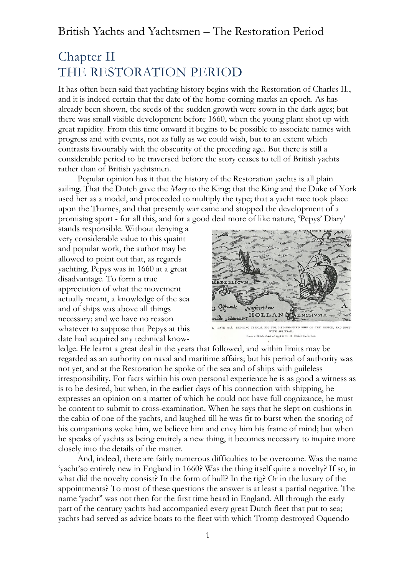# Chapter II THE RESTORATION PERIOD

It has often been said that yachting history begins with the Restoration of Charles II., and it is indeed certain that the date of the home-corning marks an epoch. As has already been shown, the seeds of the sudden growth were sown in the dark ages; but there was small visible development before 1660, when the young plant shot up with great rapidity. From this time onward it begins to be possible to associate names with progress and with events, not as fully as we could wish, but to an extent which contrasts favourably with the obscurity of the preceding age. But there is still a considerable period to be traversed before the story ceases to tell of British yachts rather than of British yachtsmen.

Popular opinion has it that the history of the Restoration yachts is all plain sailing. That the Dutch gave the *Mary* to the King; that the King and the Duke of York used her as a model, and proceeded to multiply the type; that a yacht race took place upon the Thames, and that presently war came and stopped the development of a promising sport - for all this, and for a good deal more of like nature, 'Pepys' Diary'

stands responsible. Without denying a very considerable value to this quaint and popular work, the author may be allowed to point out that, as regards yachting, Pepys was in 1660 at a great disadvantage. To form a true appreciation of what the movement actually meant, a knowledge of the sea and of ships was above all things necessary; and we have no reason whatever to suppose that Pepys at this date had acquired any technical know-



ICAL RIG FOR MEDIUM-SIZED SHIP OF THE PERIOD, AND BOAT WITH SPRITSAIL.<br>the chart of 1558 in C. H. Coole's Collection

ledge. He learnt a great deal in the years that followed, and within limits may be regarded as an authority on naval and maritime affairs; but his period of authority was not yet, and at the Restoration he spoke of the sea and of ships with guileless irresponsibility. For facts within his own personal experience he is as good a witness as is to be desired, but when, in the earlier days of his connection with shipping, he expresses an opinion on a matter of which he could not have full cognizance, he must be content to submit to cross-examination. When he says that he slept on cushions in the cabin of one of the yachts, and laughed till he was fit to burst when the snoring of his companions woke him, we believe him and envy him his frame of mind; but when he speaks of yachts as being entirely a new thing, it becomes necessary to inquire more closely into the details of the matter.

And, indeed, there are fairly numerous difficulties to be overcome. Was the name 'yacht'so entirely new in England in 1660? Was the thing itself quite a novelty? If so, in what did the novelty consist? In the form of hull? In the rig? Or in the luxury of the appointments? To most of these questions the answer is at least a partial negative. The name 'yacht'' was not then for the first time heard in England. All through the early part of the century yachts had accompanied every great Dutch fleet that put to sea; yachts had served as advice boats to the fleet with which Tromp destroyed Oquendo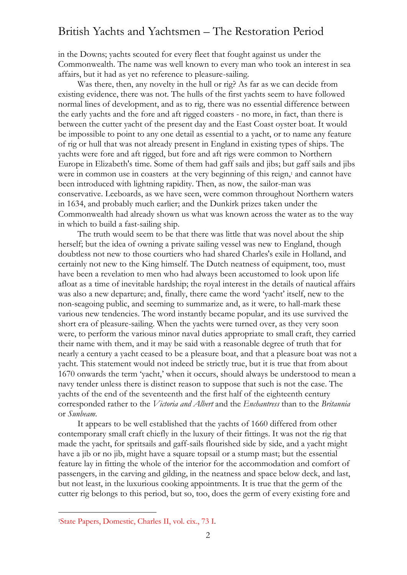in the Downs; yachts scouted for every fleet that fought against us under the Commonwealth. The name was well known to every man who took an interest in sea affairs, but it had as yet no reference to pleasure-sailing.

Was there, then, any novelty in the hull or rig? As far as we can decide from existing evidence, there was not. The hulls of the first yachts seem to have followed normal lines of development, and as to rig, there was no essential difference between the early yachts and the fore and aft rigged coasters - no more, in fact, than there is between the cutter yacht of the present day and the East Coast oyster boat. It would be impossible to point to any one detail as essential to a yacht, or to name any feature of rig or hull that was not already present in England in existing types of ships. The yachts were fore and aft rigged, but fore and aft rigs were common to Northern Europe in Elizabeth's time. Some of them had gaff sails and jibs; but gaff sails and jibs were in common use in coasters at the very beginning of this reign,<sup>1</sup> and cannot have been introduced with lightning rapidity. Then, as now, the sailor-man was conservative. Leeboards, as we have seen, were common throughout Northern waters in 1634, and probably much earlier; and the Dunkirk prizes taken under the Commonwealth had already shown us what was known across the water as to the way in which to build a fast-sailing ship.

The truth would seem to be that there was little that was novel about the ship herself; but the idea of owning a private sailing vessel was new to England, though doubtless not new to those courtiers who had shared Charles's exile in Holland, and certainly not new to the King himself. The Dutch neatness of equipment, too, must have been a revelation to men who had always been accustomed to look upon life afloat as a time of inevitable hardship; the royal interest in the details of nautical affairs was also a new departure; and, finally, there came the word 'yacht' itself, new to the non-seagoing public, and seeming to summarize and, as it were, to hall-mark these various new tendencies. The word instantly became popular, and its use survived the short era of pleasure-sailing. When the yachts were turned over, as they very soon were, to perform the various minor naval duties appropriate to small craft, they carried their name with them, and it may be said with a reasonable degree of truth that for nearly a century a yacht ceased to be a pleasure boat, and that a pleasure boat was not a yacht. This statement would not indeed be strictly true, but it is true that from about 1670 onwards the term 'yacht,' when it occurs, should always be understood to mean a navy tender unless there is distinct reason to suppose that such is not the case. The yachts of the end of the seventeenth and the first half of the eighteenth century corresponded rather to the *Victoria and Albert* and the *Enchantress* than to the *Britannia* or *Sunbeam*.

It appears to be well established that the yachts of 1660 differed from other contemporary small craft chiefly in the luxury of their fittings. It was not the rig that made the yacht, for spritsails and gaff-sails flourished side by side, and a yacht might have a jib or no jib, might have a square topsail or a stump mast; but the essential feature lay in fitting the whole of the interior for the accommodation and comfort of passengers, in the carving and gilding, in the neatness and space below deck, and last, but not least, in the luxurious cooking appointments. It is true that the germ of the cutter rig belongs to this period, but so, too, does the germ of every existing fore and

<sup>1</sup>State Papers, Domestic, Charles II, vol. cix., 73 I.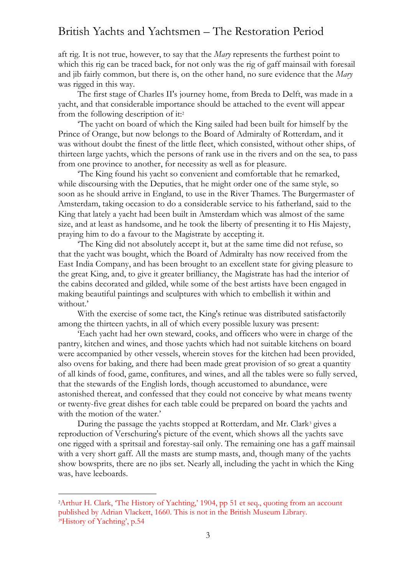aft rig. It is not true, however, to say that the *Mary* represents the furthest point to which this rig can be traced back, for not only was the rig of gaff mainsail with foresail and jib fairly common, but there is, on the other hand, no sure evidence that the *Mary* was rigged in this way.

The first stage of Charles II's journey home, from Breda to Delft, was made in a yacht, and that considerable importance should be attached to the event will appear from the following description of it: 2

'The yacht on board of which the King sailed had been built for himself by the Prince of Orange, but now belongs to the Board of Admiralty of Rotterdam, and it was without doubt the finest of the little fleet, which consisted, without other ships, of thirteen large yachts, which the persons of rank use in the rivers and on the sea, to pass from one province to another, for necessity as well as for pleasure.

'The King found his yacht so convenient and comfortable that he remarked, while discoursing with the Deputies, that he might order one of the same style, so soon as he should arrive in England, to use in the River Thames. The Burgermaster of Amsterdam, taking occasion to do a considerable service to his fatherland, said to the King that lately a yacht had been built in Amsterdam which was almost of the same size, and at least as handsome, and he took the liberty of presenting it to His Majesty, praying him to do a favour to the Magistrate by accepting it.

'The King did not absolutely accept it, but at the same time did not refuse, so that the yacht was bought, which the Board of Admiralty has now received from the East India Company, and has been brought to an excellent state for giving pleasure to the great King, and, to give it greater brilliancy, the Magistrate has had the interior of the cabins decorated and gilded, while some of the best artists have been engaged in making beautiful paintings and sculptures with which to embellish it within and without.'

With the exercise of some tact, the King's retinue was distributed satisfactorily among the thirteen yachts, in all of which every possible luxury was present:

'Each yacht had her own steward, cooks, and officers who were in charge of the pantry, kitchen and wines, and those yachts which had not suitable kitchens on board were accompanied by other vessels, wherein stoves for the kitchen had been provided, also ovens for baking, and there had been made great provision of so great a quantity of all kinds of food, game, confitures, and wines, and all the tables were so fully served, that the stewards of the English lords, though accustomed to abundance, were astonished thereat, and confessed that they could not conceive by what means twenty or twenty-five great dishes for each table could be prepared on board the yachts and with the motion of the water.'

During the passage the yachts stopped at Rotterdam, and Mr. Clark<sup>3</sup> gives a reproduction of Verschuring's picture of the event, which shows all the yachts save one rigged with a spritsail and forestay-sail only. The remaining one has a gaff mainsail with a very short gaff. All the masts are stump masts, and, though many of the yachts show bowsprits, there are no jibs set. Nearly all, including the yacht in which the King was, have leeboards.

<sup>2</sup>Arthur H. Clark, 'The History of Yachting,' 1904, pp 51 et seq., quoting from an account published by Adrian Vlackett, 1660. This is not in the British Museum Library. 3 'History of Yachting', p.54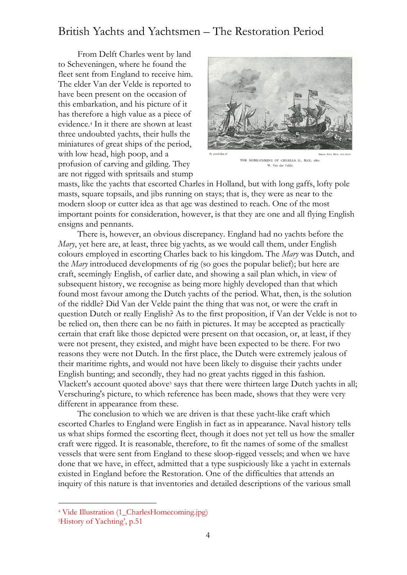From Delft Charles went by land to Scheveningen, where he found the fleet sent from England to receive him. The elder Van der Velde is reported to have been present on the occasion of this embarkation, and his picture of it has therefore a high value as a piece of evidence.<sup>4</sup> In it there are shown at least three undoubted yachts, their hulls the miniatures of great ships of the period, with low head, high poop, and a profusion of carving and gilding. They are not rigged with spritsails and stump



THE HOME-COMING OF CHARLES II., MAY, 1660. W. Van der Velde.

masts, like the yachts that escorted Charles in Holland, but with long gaffs, lofty pole masts, square topsails, and jibs running on stays; that is, they were as near to the modern sloop or cutter idea as that age was destined to reach. One of the most important points for consideration, however, is that they are one and all flying English ensigns and pennants.

There is, however, an obvious discrepancy. England had no yachts before the *Mary*, yet here are, at least, three big yachts, as we would call them, under English colours employed in escorting Charles back to his kingdom. The *Mary* was Dutch, and the *Mary* introduced developments of rig (so goes the popular belief); but here are craft, seemingly English, of earlier date, and showing a sail plan which, in view of subsequent history, we recognise as being more highly developed than that which found most favour among the Dutch yachts of the period. What, then, is the solution of the riddle? Did Van der Velde paint the thing that was not, or were the craft in question Dutch or really English? As to the first proposition, if Van der Velde is not to be relied on, then there can be no faith in pictures. It may be accepted as practically certain that craft like those depicted were present on that occasion, or, at least, if they were not present, they existed, and might have been expected to be there. For two reasons they were not Dutch. In the first place, the Dutch were extremely jealous of their maritime rights, and would not have been likely to disguise their yachts under English bunting; and secondly, they had no great yachts rigged in this fashion. Vlackett's account quoted above<sup>5</sup> says that there were thirteen large Dutch yachts in all; Verschuring's picture, to which reference has been made, shows that they were very different in appearance from these.

The conclusion to which we are driven is that these yacht-like craft which escorted Charles to England were English in fact as in appearance. Naval history tells us what ships formed the escorting fleet, though it does not yet tell us how the smaller craft were rigged. It is reasonable, therefore, to fit the names of some of the smallest vessels that were sent from England to these sloop-rigged vessels; and when we have done that we have, in effect, admitted that a type suspiciously like a yacht in externals existed in England before the Restoration. One of the difficulties that attends an inquiry of this nature is that inventories and detailed descriptions of the various small

<sup>4</sup> Vide Illustration (1\_CharlesHomecoming.jpg)

<sup>5</sup>History of Yachting', p.51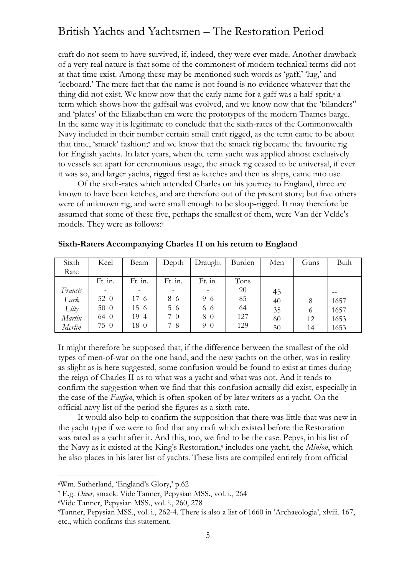craft do not seem to have survived, if, indeed, they were ever made. Another drawback of a very real nature is that some of the commonest of modern technical terms did not at that time exist. Among these may be mentioned such words as 'gaff,' 'lug,' and 'leeboard.' The mere fact that the name is not found is no evidence whatever that the thing did not exist. We know now that the early name for a gaff was a half-sprit,<sup>6</sup> a term which shows how the gaffsail was evolved, and we know now that the 'bilanders'' and 'plates' of the Elizabethan era were the prototypes of the modern Thames barge. In the same way it is legitimate to conclude that the sixth-rates of the Commonwealth Navy included in their number certain small craft rigged, as the term came to be about that time, 'smack' fashion; <sup>7</sup> and we know that the smack rig became the favourite rig for English yachts. In later years, when the term yacht was applied almost exclusively to vessels set apart for ceremonious usage, the smack rig ceased to be universal, if ever it was so, and larger yachts, rigged first as ketches and then as ships, came into use.

Of the sixth-rates which attended Charles on his journey to England, three are known to have been ketches, and are therefore out of the present story; but five others were of unknown rig, and were small enough to be sloop-rigged. It may therefore be assumed that some of these five, perhaps the smallest of them, were Van der Velde's models. They were as follows: 8

| Sixth   | Keel    | Beam                     | Depth   | Draught | Burden | Men | Guns | <b>Built</b> |
|---------|---------|--------------------------|---------|---------|--------|-----|------|--------------|
| Rate    |         |                          |         |         |        |     |      |              |
|         | Ft. in. | Ft. in.                  | Ft. in. | Ft. in. | Tons   |     |      |              |
| Francis |         | $\overline{\phantom{0}}$ |         |         | 90     | 45  |      |              |
| Lark    | 52 0    | 17 6                     | 86      | 96      | 85     | 40  | 8    | 1657         |
| Lilly   | 50 0    | 15 6                     | 5 6     | 6 6     | 64     | 35  | 6    | 1657         |
| Martin  | 64 0    | 19 4                     | 70      | 8 0     | 127    | 60  | 12   | 1653         |
| Merlin  | 75 0    | 18 0                     | 78      | 9 0     | 129    | 50  | 14   | 1653         |

**Sixth-Raters Accompanying Charles II on his return to England**

It might therefore be supposed that, if the difference between the smallest of the old types of men-of-war on the one hand, and the new yachts on the other, was in reality as slight as is here suggested, some confusion would be found to exist at times during the reign of Charles II as to what was a yacht and what was not. And it tends to confirm the suggestion when we find that this confusion actually did exist, especially in the case of the *Fanfan*, which is often spoken of by later writers as a yacht. On the official navy list of the period she figures as a sixth-rate.

It would also help to confirm the supposition that there was little that was new in the yacht type if we were to find that any craft which existed before the Restoration was rated as a yacht after it. And this, too, we find to be the case. Pepys, in his list of the Navy as it existed at the King's Restoration,<sup>9</sup> includes one yacht, the *Minion*, which he also places in his later list of yachts. These lists are compiled entirely from official

<sup>6</sup>Wm. Sutherland, 'England's Glory,' p.62

<sup>7</sup> E.g. *Diver*, smack. Vide Tanner, Pepysian MSS., vol. i., 264

<sup>8</sup>Vide Tanner, Pepysian MSS., vol. i., 260, 278

<sup>9</sup>Tanner, Pepysian MSS., vol. i., 262-4. There is also a list of 1660 in 'Archaeologia', xlviii. 167, etc., which confirms this statement.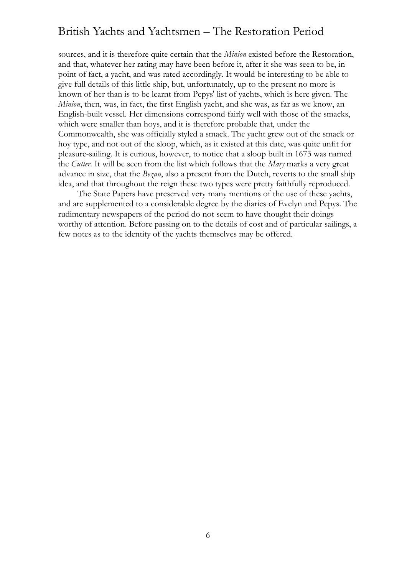sources, and it is therefore quite certain that the *Minion* existed before the Restoration, and that, whatever her rating may have been before it, after it she was seen to be, in point of fact, a yacht, and was rated accordingly. It would be interesting to be able to give full details of this little ship, but, unfortunately, up to the present no more is known of her than is to be learnt from Pepys' list of yachts, which is here given. The *Minion*, then, was, in fact, the first English yacht, and she was, as far as we know, an English-built vessel. Her dimensions correspond fairly well with those of the smacks, which were smaller than hoys, and it is therefore probable that, under the Commonwealth, she was officially styled a smack. The yacht grew out of the smack or hoy type, and not out of the sloop, which, as it existed at this date, was quite unfit for pleasure-sailing. It is curious, however, to notice that a sloop built in 1673 was named the *Cutter*. It will be seen from the list which follows that the *Mary* marks a very great advance in size, that the *Bezan*, also a present from the Dutch, reverts to the small ship idea, and that throughout the reign these two types were pretty faithfully reproduced.

The State Papers have preserved very many mentions of the use of these yachts, and are supplemented to a considerable degree by the diaries of Evelyn and Pepys. The rudimentary newspapers of the period do not seem to have thought their doings worthy of attention. Before passing on to the details of cost and of particular sailings, a few notes as to the identity of the yachts themselves may be offered.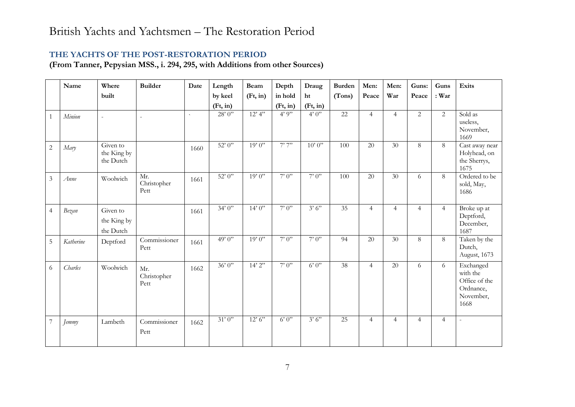#### **THE YACHTS OF THE POST-RESTORATION PERIOD**

**(From Tanner, Pepysian MSS., i. 294, 295, with Additions from other Sources)**

|                | Name      | Where                                | <b>Builder</b>             | Date                | Length   | <b>Beam</b> | Depth    | Draug    | <b>Burden</b>   | Men:            | Men:            | Guns:          | Guns           | Exits                                                                    |
|----------------|-----------|--------------------------------------|----------------------------|---------------------|----------|-------------|----------|----------|-----------------|-----------------|-----------------|----------------|----------------|--------------------------------------------------------------------------|
|                |           | built                                |                            |                     | by keel  | (Ft, in)    | in hold  | ht       | (Tons)          | Peace           | War             | Peace          | : War          |                                                                          |
|                |           |                                      |                            |                     | (Ft, in) |             | (Ft, in) | (Ft, in) |                 |                 |                 |                |                |                                                                          |
| 1              | Minion    | $\sim$                               | $\sim$                     | $\bar{\phantom{a}}$ | 28'0''   | 12'4''      | 4'9''    | 4'0'     | $\overline{22}$ | $\overline{4}$  | $\overline{4}$  | 2              | 2              | Sold as<br>useless,<br>November,<br>1669                                 |
| $\overline{2}$ | Mary      | Given to<br>the King by<br>the Dutch |                            | 1660                | 52'0''   | 19'0''      | 7'7''    | 10'0''   | 100             | 20              | 30              | 8              | 8              | Cast away near<br>Holyhead, on<br>the Sherrys,<br>1675                   |
| $\mathfrak{Z}$ | Anne      | Woolwich                             | Mr.<br>Christopher<br>Pett | 1661                | 52'0''   | 19'0''      | 7'0''    | 7'0'     | 100             | $\overline{20}$ | 30 <sup>2</sup> | 6              | 8              | Ordered to be<br>sold, May,<br>1686                                      |
| $\overline{4}$ | Bezan     | Given to<br>the King by<br>the Dutch |                            | 1661                | 34'0''   | 14'0''      | 7'0'     | 3'6'     | 35              | $\overline{4}$  | $\overline{4}$  | $\overline{4}$ | $\overline{4}$ | Broke up at<br>Deptford,<br>December,<br>1687                            |
| $\overline{5}$ | Katherine | Deptford                             | Commissioner<br>Pett       | 1661                | 49'0''   | 19'0''      | 7'0''    | 7'0''    | 94              | 20              | 30              | 8              | 8              | Taken by the<br>Dutch,<br>August, 1673                                   |
| 6              | Charles   | Woolwich                             | Mr.<br>Christopher<br>Pett | 1662                | 36'0''   | 14'2''      | 7'0''    | 6'0''    | $\overline{38}$ | $\overline{4}$  | 20              | 6              | 6              | Exchanged<br>with the<br>Office of the<br>Ordnance,<br>November,<br>1668 |
| $\overline{7}$ | Jemmy     | Lambeth                              | Commissioner<br>Pett       | 1662                | 31'0''   | 12'6''      | 6'0''    | 3'6'     | 25              | $\overline{4}$  | $\overline{4}$  | $\overline{4}$ | $\overline{4}$ | $\omega$                                                                 |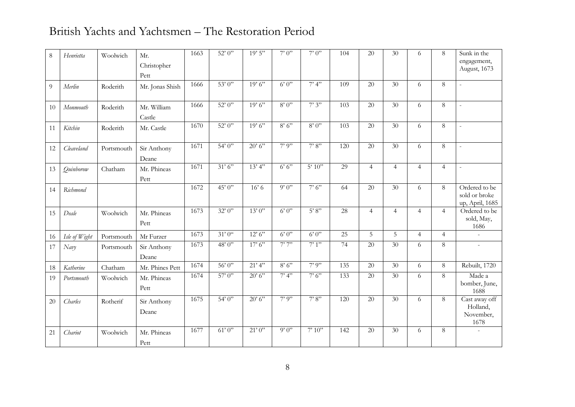| 8  | Henrietta     | Woolwich   | Mr.             | 1663 | 52'0''            | 19'5''  | 7'0'' | 7'0''            | 104             | $\overline{20}$ | $\overline{30}$ | 6              | 8              | Sunk in the                    |
|----|---------------|------------|-----------------|------|-------------------|---------|-------|------------------|-----------------|-----------------|-----------------|----------------|----------------|--------------------------------|
|    |               |            | Christopher     |      |                   |         |       |                  |                 |                 |                 |                |                | engagement,<br>August, 1673    |
|    |               |            | Pett            |      |                   |         |       |                  |                 |                 |                 |                |                |                                |
| 9  | Merlin        | Roderith   | Mr. Jonas Shish | 1666 | 53'0''            | 19'6''  | 6'0'' | 7'4''            | 109             | $\overline{20}$ | $\overline{30}$ | 6              | 8              |                                |
|    |               |            |                 |      |                   |         |       |                  |                 |                 |                 |                |                |                                |
| 10 | Monmouth      | Roderith   | Mr. William     | 1666 | 52'0''            | 19'6''  | 8'0'' | 7'3''            | 103             | 20              | 30              | 6              | 8              | $\overline{a}$                 |
|    |               |            | Castle          |      |                   |         |       |                  |                 |                 |                 |                |                |                                |
| 11 | Kitchin       | Roderith   | Mr. Castle      | 1670 | $\frac{1}{22}$ 0" | 19'6''  | 8'6'' | 8'0''            | 103             | 20              | 30              | 6              | 8              | $\frac{1}{2}$                  |
|    |               |            |                 |      |                   |         |       |                  |                 |                 |                 |                |                |                                |
| 12 | Cleaveland    | Portsmouth | Sir Anthony     | 1671 | 54'0''            | 20' 6'' | 7'9'' | 7'8''            | 120             | 20              | 30              | 6              | 8              | $\overline{\phantom{a}}$       |
|    |               |            | Deane           |      |                   |         |       |                  |                 |                 |                 |                |                |                                |
| 13 | Quinborow     | Chatham    | Mr. Phineas     | 1671 | 31'6''            | 13'4"   | 6'6'' | $5^{\circ} 10$ " | 29              | $\overline{4}$  | $\overline{4}$  | $\overline{4}$ | $\overline{4}$ | $\overline{\phantom{a}}$       |
|    |               |            | Pett            |      |                   |         |       |                  |                 |                 |                 |                |                |                                |
| 14 | Richmond      |            |                 | 1672 | 45'0''            | 16'6    | 9'0'' | 7'6'             | 64              | 20              | 30              | 6              | 8              | Ordered to be<br>sold or broke |
|    |               |            |                 |      |                   |         |       |                  |                 |                 |                 |                |                | up, April, 1685                |
| 15 | Deale         | Woolwich   | Mr. Phineas     | 1673 | 32'0''            | 13'0''  | 6'0'' | 5'8''            | 28              | $\overline{4}$  | $\overline{4}$  | $\overline{4}$ | $\overline{4}$ | Ordered to be                  |
|    |               |            | Pett            |      |                   |         |       |                  |                 |                 |                 |                |                | sold, May,<br>1686             |
| 16 | Isle of Wight | Portsmouth | Mr Furzer       | 1673 | 31'0''            | 12'6''  | 6'0'' | 6'0''            | $\overline{25}$ | $\overline{5}$  | $\overline{5}$  | $\overline{4}$ | $\overline{4}$ | ÷.                             |
| 17 | Navy          | Portsmouth | Sir Anthony     | 1673 | 48'0"             | 17'6''  | 7'7'' | 7'1'             | 74              | 20              | 30              | 6              | 8              | $\equiv$                       |
|    |               |            | Deane           |      |                   |         |       |                  |                 |                 |                 |                |                |                                |
| 18 | Katherine     | Chatham    | Mr. Phines Pett | 1674 | 56'0''            | 21'4''  | 8'6'' | 7'9''            | 135             | $\overline{20}$ | $\overline{30}$ | 6              | 8              | Rebuilt, 1720                  |
| 19 | Portsmouth    | Woolwich   | Mr. Phineas     | 1674 | $57^\circ 0$ "    | 20'6''  | 7'4'' | 7'6''            | 133             | 20              | 30              | 6              | 8              | Made a                         |
|    |               |            | Pett            |      |                   |         |       |                  |                 |                 |                 |                |                | bomber, June,<br>1688          |
| 20 | Charles       | Rotherif   | Sir Anthony     | 1675 | 54'0''            | 20'6''  | 7'9'' | 7'8''            | 120             | 20              | 30              | 6              | 8              | Cast away off                  |
|    |               |            | Deane           |      |                   |         |       |                  |                 |                 |                 |                |                | Holland,                       |
|    |               |            |                 |      |                   |         |       |                  |                 |                 |                 |                |                | November,<br>1678              |
| 21 | Chariot       | Woolwich   | Mr. Phineas     | 1677 | 61'0''            | 21'0''  | 9'0'' | 7'10''           | 142             | 20              | 30              | 6              | 8              |                                |
|    |               |            | Pett            |      |                   |         |       |                  |                 |                 |                 |                |                |                                |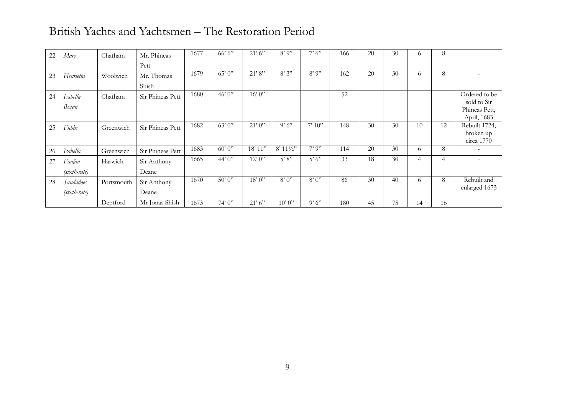| 22 | Mary           | Chatham    | Mr. Phineas      | 1677 | 66' 6'' | 21'6''  | 8'9''                    | 7'6'                     | 166 | 20 | 30                       | $\Omega$ | 8                        |                              |
|----|----------------|------------|------------------|------|---------|---------|--------------------------|--------------------------|-----|----|--------------------------|----------|--------------------------|------------------------------|
|    |                |            | Pett             |      |         |         |                          |                          |     |    |                          |          |                          |                              |
| 23 | Henrietta      | Woolwich   | Mr. Thomas       | 1679 | 65'0''  | 21'8''  | 8'3''                    | $8'$ 9"                  | 162 | 20 | 30                       | 6        | 8                        |                              |
|    |                |            | Shish            |      |         |         |                          |                          |     |    |                          |          |                          |                              |
| 24 | Isabella       | Chatham    | Sir Phineas Pett | 1680 | 46'0''  | 16'0''  | $\overline{\phantom{a}}$ | $\overline{\phantom{a}}$ | 52  | ٠  | $\overline{\phantom{0}}$ |          | $\overline{\phantom{a}}$ | Ordered to be                |
|    | Bezan          |            |                  |      |         |         |                          |                          |     |    |                          |          |                          | sold to Sir<br>Phineas Pett, |
|    |                |            |                  |      |         |         |                          |                          |     |    |                          |          |                          | April, 1683                  |
| 25 | Fubbs          | Greenwich  | Sir Phineas Pett | 1682 | 63'0''  | 21'0''  | 9'6'                     | 7'10''                   | 148 | 30 | 30                       | 10       | 12                       | Rebuilt 1724;                |
|    |                |            |                  |      |         |         |                          |                          |     |    |                          |          |                          | broken up                    |
|    |                |            |                  | 1683 | 60'0''  | 18' 11" | $8'$ 11 $\frac{1}{2}$ "  | 7'9''                    | 114 | 20 | 30                       |          | 8                        | circa 1770                   |
| 26 | Isabella       | Greenwich  | Sir Phineas Pett |      |         |         |                          |                          |     |    |                          | $\sigma$ |                          |                              |
| 27 | Fanfan         | Harwich    | Sir Anthony      | 1665 | 44'0''  | 12'0''  | 5' 8''                   | 5'6'                     | 33  | 18 | 30                       | 4        | 4                        |                              |
|    | $(sixth-rate)$ |            | Deane            |      |         |         |                          |                          |     |    |                          |          |                          |                              |
| 28 | Saudadoes      | Portsmouth | Sir Anthony      | 1670 | 50'0''  | 18'0''  | 8'0''                    | 8'0''                    | 86  | 30 | 40                       | 6        | 8                        | Rebuilt and                  |
|    | $(sixth-rate)$ |            | Deane            |      |         |         |                          |                          |     |    |                          |          |                          | enlarged 1673                |
|    |                | Deptford   | Mr Jonas Shish   | 1673 | 74'0''  | 21'6''  | 10'0''                   | 9'6''                    | 180 | 45 | 75                       | 14       | 16                       |                              |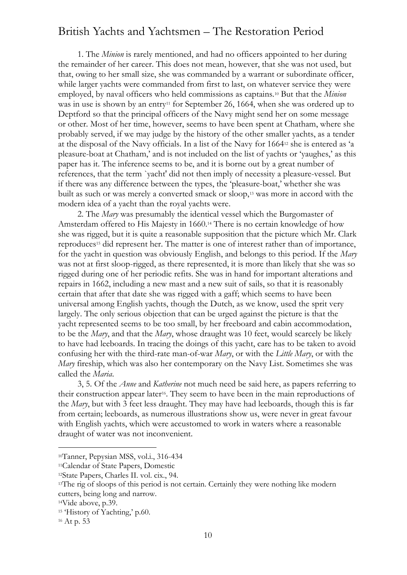1. The *Minion* is rarely mentioned, and had no officers appointed to her during the remainder of her career. This does not mean, however, that she was not used, but that, owing to her small size, she was commanded by a warrant or subordinate officer, while larger yachts were commanded from first to last, on whatever service they were employed, by naval officers who held commissions as captains.<sup>10</sup> But that the *Minion* was in use is shown by an entry<sup>11</sup> for September 26, 1664, when she was ordered up to Deptford so that the principal officers of the Navy might send her on some message or other. Most of her time, however, seems to have been spent at Chatham, where she probably served, if we may judge by the history of the other smaller yachts, as a tender at the disposal of the Navy officials. In a list of the Navy for 1664<sup>12</sup> she is entered as 'a pleasure-boat at Chatham,' and is not included on the list of yachts or 'yaughes,' as this paper has it. The inference seems to be, and it is borne out by a great number of references, that the term `yacht' did not then imply of necessity a pleasure-vessel. But if there was any difference between the types, the 'pleasure-boat,' whether she was built as such or was merely a converted smack or sloop,<sup>13</sup> was more in accord with the modern idea of a yacht than the royal yachts were.

2. The *Mary* was presumably the identical vessel which the Burgomaster of Amsterdam offered to His Majesty in 1660.<sup>14</sup> There is no certain knowledge of how she was rigged, but it is quite a reasonable supposition that the picture which Mr. Clark reproduces<sup>15</sup> did represent her. The matter is one of interest rather than of importance, for the yacht in question was obviously English, and belongs to this period. If the *Mary* was not at first sloop-rigged, as there represented, it is more than likely that she was so rigged during one of her periodic refits. She was in hand for important alterations and repairs in 1662, including a new mast and a new suit of sails, so that it is reasonably certain that after that date she was rigged with a gaff; which seems to have been universal among English yachts, though the Dutch, as we know, used the sprit very largely. The only serious objection that can be urged against the picture is that the yacht represented seems to be too small, by her freeboard and cabin accommodation, to be the *Mary*, and that the *Mary*, whose draught was 10 feet, would scarcely be likely to have had leeboards. In tracing the doings of this yacht, care has to be taken to avoid confusing her with the third-rate man-of-war *Mary*, or with the *Little Mary*, or with the *Mary* fireship, which was also her contemporary on the Navy List. Sometimes she was called the *Maria*.

3, 5. Of the *Anne* and *Katherine* not much need be said here, as papers referring to their construction appear later<sup>16</sup>. They seem to have been in the main reproductions of the *Mary*, but with 3 feet less draught. They may have had leeboards, though this is far from certain; leeboards, as numerous illustrations show us, were never in great favour with English yachts, which were accustomed to work in waters where a reasonable draught of water was not inconvenient.

<sup>10</sup>Tanner, Pepysian MSS, vol.i., 316-434

<sup>11</sup>Calendar of State Papers, Domestic

<sup>12</sup>State Papers, Charles II. vol. cix., 94.

<sup>&</sup>lt;sup>13</sup>The rig of sloops of this period is not certain. Certainly they were nothing like modern cutters, being long and narrow.

<sup>14</sup>Vide above, p.39.

<sup>15</sup> 'History of Yachting,' p.60.

<sup>16</sup> At p. 53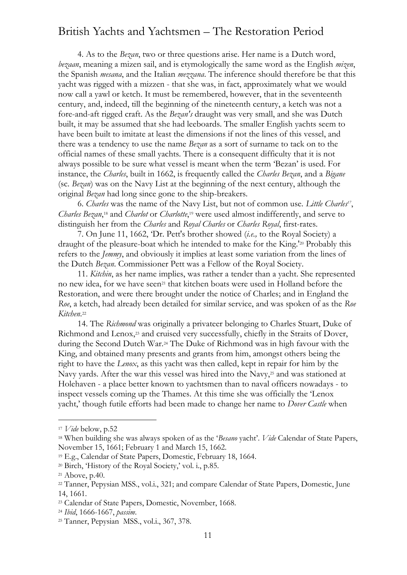4. As to the *Bezan*, two or three questions arise. Her name is a Dutch word, *bezaan*, meaning a mizen sail, and is etymologically the same word as the English *mizen*, the Spanish *mesana*, and the Italian *mezzana*. The inference should therefore be that this yacht was rigged with a mizzen - that she was, in fact, approximately what we would now call a yawl or ketch. It must be remembered, however, that in the seventeenth century, and, indeed, till the beginning of the nineteenth century, a ketch was not a fore-and-aft rigged craft. As the *Bezan's* draught was very small, and she was Dutch built, it may be assumed that she had leeboards. The smaller English yachts seem to have been built to imitate at least the dimensions if not the lines of this vessel, and there was a tendency to use the name *Bezan* as a sort of surname to tack on to the official names of these small yachts. There is a consequent difficulty that it is not always possible to be sure what vessel is meant when the term 'Bezan' is used. For instance, the *Charles*, built in 1662, is frequently called the *Charles Bezan*, and a *Bigane* (sc. *Bezan*) was on the Navy List at the beginning of the next century, although the original *Bezan* had long since gone to the ship-breakers.

6. *Charles* was the name of the Navy List, but not of common use. *Little Charles<sup>17</sup>* , *Charles Bezan*, <sup>18</sup> and *Charlot* or *Charlotte*, <sup>19</sup> were used almost indifferently, and serve to distinguish her from the *Charles* and *Royal Charles* or *Charles Royal*, first-rates.

7. On June 11, 1662, 'Dr. Pett's brother showed (*i.e.,* to the Royal Society) a draught of the pleasure-boat which he intended to make for the King.'<sup>20</sup> Probably this refers to the *Jemmy*, and obviously it implies at least some variation from the lines of the Dutch *Bezan*. Commissioner Pett was a Fellow of the Royal Society.

11. *Kitchin*, as her name implies, was rather a tender than a yacht. She represented no new idea, for we have seen<sup>21</sup> that kitchen boats were used in Holland before the Restoration, and were there brought under the notice of Charles; and in England the *Roe*, a ketch, had already been detailed for similar service, and was spoken of as the *Roe Kitchen*. 22

14. The *Richmond* was originally a privateer belonging to Charles Stuart, Duke of Richmond and Lenox,<sup>23</sup> and cruised very successfully, chiefly in the Straits of Dover, during the Second Dutch War.<sup>24</sup> The Duke of Richmond was in high favour with the King, and obtained many presents and grants from him, amongst others being the right to have the *Lenox*, as this yacht was then called, kept in repair for him by the Navy yards. After the war this vessel was hired into the Navy,<sup>25</sup> and was stationed at Holehaven - a place better known to yachtsmen than to naval officers nowadays - to inspect vessels coming up the Thames. At this time she was officially the 'Lenox yacht,' though futile efforts had been made to change her name to *Dover Castle* when

<sup>17</sup> *Vide* below, p.52

<sup>18</sup> When building she was always spoken of as the '*Besano* yacht'. *Vide* Calendar of State Papers, November 15, 1661; February 1 and March 15, 1662.

<sup>19</sup> E.g., Calendar of State Papers, Domestic, February 18, 1664.

<sup>20</sup> Birch, 'History of the Royal Society,' vol. i., p.85.

<sup>21</sup> Above, p.40.

<sup>&</sup>lt;sup>22</sup> Tanner, Pepysian MSS., vol.i., 321; and compare Calendar of State Papers, Domestic, June 14, 1661.

<sup>23</sup> Calendar of State Papers, Domestic, November, 1668.

<sup>24</sup> *Ibid*, 1666-1667, *passim*.

<sup>25</sup> Tanner, Pepysian MSS., vol.i., 367, 378.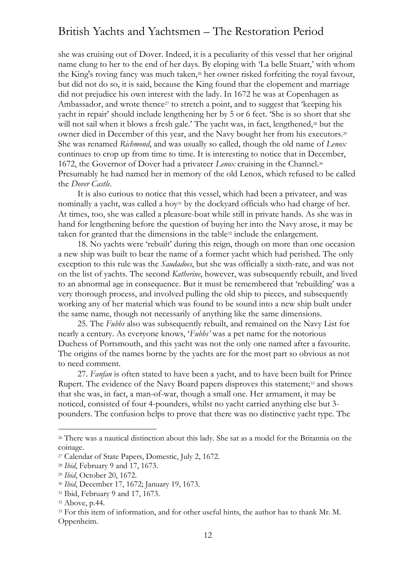she was cruising out of Dover. Indeed, it is a peculiarity of this vessel that her original name clung to her to the end of her days. By eloping with 'La belle Stuart,' with whom the King's roving fancy was much taken,<sup>26</sup> her owner risked forfeiting the royal favour, but did not do so, it is said, because the King found that the elopement and marriage did not prejudice his own interest with the lady. In 1672 he was at Copenhagen as Ambassador, and wrote thence<sup>27</sup> to stretch a point, and to suggest that 'keeping his yacht in repair' should include lengthening her by 5 or 6 feet. 'She is so short that she will not sail when it blows a fresh gale.' The yacht was, in fact, lengthened,<sup>28</sup> but the owner died in December of this year, and the Navy bought her from his executors.<sup>29</sup> She was renamed *Richmond*, and was usually so called, though the old name of *Lenox* continues to crop up from time to time. It is interesting to notice that in December, 1672, the Governor of Dover had a privateer *Lenox* cruising in the Channel. 30 Presumably he had named her in memory of the old Lenox, which refused to be called the *Dover Castle*.

It is also curious to notice that this vessel, which had been a privateer, and was nominally a yacht, was called a hoy<sup>31</sup> by the dockyard officials who had charge of her. At times, too, she was called a pleasure-boat while still in private hands. As she was in hand for lengthening before the question of buying her into the Navy arose, it may be taken for granted that the dimensions in the table<sup>32</sup> include the enlargement.

18. No yachts were 'rebuilt' during this reign, though on more than one occasion a new ship was built to bear the name of a former yacht which had perished. The only exception to this rule was the *Saudadoes*, but she was officially a sixth-rate, and was not on the list of yachts. The second *Katherine*, however, was subsequently rebuilt, and lived to an abnormal age in consequence. But it must be remembered that 'rebuilding' was a very thorough process, and involved pulling the old ship to pieces, and subsequently working any of her material which was found to be sound into a new ship built under the same name, though not necessarily of anything like the same dimensions.

25. The *Fubbs* also was subsequently rebuilt, and remained on the Navy List for nearly a century. As everyone knows, '*Fubbs'* was a pet name for the notorious Duchess of Portsmouth, and this yacht was not the only one named after a favourite. The origins of the names borne by the yachts are for the most part so obvious as not to need comment.

27. *Fanfan* is often stated to have been a yacht, and to have been built for Prince Rupert. The evidence of the Navy Board papers disproves this statement;<sup>33</sup> and shows that she was, in fact, a man-of-war, though a small one. Her armament, it may be noticed, consisted of four 4-pounders, whilst no yacht carried anything else but 3 pounders. The confusion helps to prove that there was no distinctive yacht type. The

<sup>&</sup>lt;sup>26</sup> There was a nautical distinction about this lady. She sat as a model for the Britannia on the coinage.

<sup>27</sup> Calendar of State Papers, Domestic, July 2, 1672.

<sup>28</sup> *Ibid*, February 9 and 17, 1673.

<sup>29</sup> *Ibid*, October 20, 1672.

<sup>30</sup> *Ibid*, December 17, 1672; January 19, 1673.

<sup>&</sup>lt;sup>31</sup> Ibid, February 9 and 17, 1673.

<sup>32</sup> Above, p.44.

<sup>33</sup> For this item of information, and for other useful hints, the author has to thank Mr. M. Oppenheim.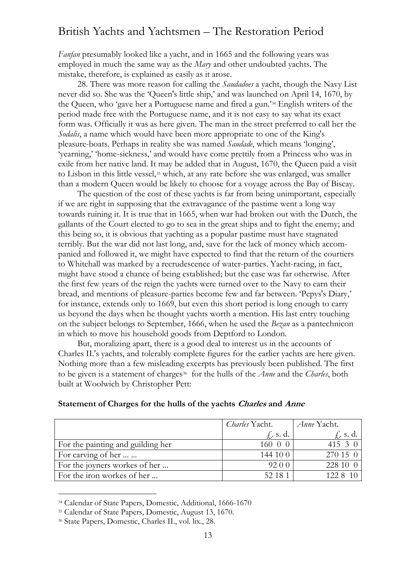*Fanfan* presumably looked like a yacht, and in 1665 and the following years was employed in much the same way as the *Mary* and other undoubted yachts. The mistake, therefore, is explained as easily as it arose.

28. There was more reason for calling the *Saudadoes* a yacht, though the Navy List never did so. She was the 'Queen's little ship,' and was launched on April 14, 1670, by the Queen, who 'gave her a Portuguese name and fired a gun.'<sup>34</sup> English writers of the period made free with the Portuguese name, and it is not easy to say what its exact form was. Officially it was as here given. The man in the street preferred to call her the *Sodalis*, a name which would have been more appropriate to one of the King's pleasure-boats. Perhaps in reality she was named *Saudade*, which means 'longing', 'yearning,' 'home-sickness,' and would have come prettily from a Princess who was in exile from her native land. It may be added that in August, 1670, the Queen paid a visit to Lisbon in this little vessel,<sup>35</sup> which, at any rate before she was enlarged, was smaller than a modern Queen would be likely to choose for a voyage across the Bay of Biscay.

The question of the cost of these yachts is far from being unimportant, especially if we are right in supposing that the extravagance of the pastime went a long way towards ruining it. It is true that in 1665, when war had broken out with the Dutch, the gallants of the Court elected to go to sea in the great ships and to fight the enemy; and this being so, it is obvious that yachting as a popular pastime must have stagnated terribly. But the war did not last long, and, save for the lack of money which accompanied and followed it, we might have expected to find that the return of the courtiers to Whitehall was marked by a recrudescence of water-parties. Yacht-racing, in fact, might have stood a chance of being established; but the case was far otherwise. After the first few years of the reign the yachts were turned over to the Navy to earn their bread, and mentions of pleasure-parties become few and far between. 'Pepys's Diary,' for instance, extends only to 1669, but even this short period is long enough to carry us beyond the days when he thought yachts worth a mention. His last entry touching on the subject belongs to September, 1666, when he used the *Bezan* as a pantechnicon in which to move his household goods from Deptford to London.

But, moralizing apart, there is a good deal to interest us in the accounts of Charles II.'s yachts, and tolerably complete figures for the earlier yachts are here given. Nothing more than a few misleading excerpts has previously been published. The first to be given is a statement of charges<sup>36</sup> for the hulls of the *Anne* and the *Charles*, both built at Woolwich by Christopher Pett:

|                                   | <i>Charles</i> Yacht. | Anne Yacht.  |
|-----------------------------------|-----------------------|--------------|
|                                   | $f$ , s.d.            | $fr$ . s. d. |
| For the painting and guilding her | 160 0 0               | 415 $3 \ 0$  |
| For carving of her                | 144100                | 270 15 0     |
| For the joyners workes of her     | 92 0 0                | 228 10 0     |
| For the iron workes of her        | 52 18 1               | 122.8        |

#### **Statement of Charges for the hulls of the yachts Charles and Anne**

<sup>34</sup> Calendar of State Papers, Domestic, Additional, 1666-1670

<sup>35</sup> Calendar of State Papers, Domestic, August 13, 1670.

<sup>36</sup> State Papers, Domestic, Charles II., vol. lix., 28.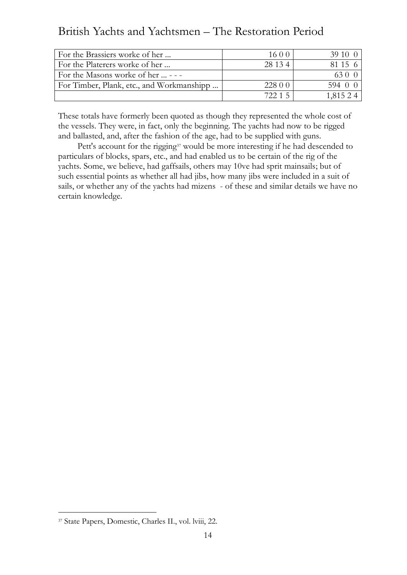| For the Brassiers worke of her            | 16 0 0  | 39.10 O  |
|-------------------------------------------|---------|----------|
| For the Platerers worke of her            | 28 13 4 | 81 15 6  |
| For the Masons worke of her  - - -        |         | 63 O C   |
| For Timber, Plank, etc., and Workmanshipp | 228 0 0 | 594 0 0  |
|                                           | 72215   | 1,815 24 |

These totals have formerly been quoted as though they represented the whole cost of the vessels. They were, in fact, only the beginning. The yachts had now to be rigged and ballasted, and, after the fashion of the age, had to be supplied with guns.

Pett's account for the rigging<sup>37</sup> would be more interesting if he had descended to particulars of blocks, spars, etc., and had enabled us to be certain of the rig of the yachts. Some, we believe, had gaffsails, others may 10ve had sprit mainsails; but of such essential points as whether all had jibs, how many jibs were included in a suit of sails, or whether any of the yachts had mizens - of these and similar details we have no certain knowledge.

<sup>37</sup> State Papers, Domestic, Charles II., vol. lviii, 22.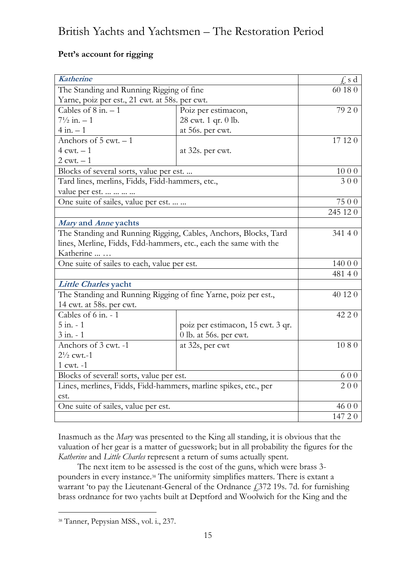#### **Pett's account for rigging**

| <b>Katherine</b>                                                 |                                   | $f$ , s d          |
|------------------------------------------------------------------|-----------------------------------|--------------------|
| The Standing and Running Rigging of fine                         |                                   | 60 18 0            |
| Yarne, poiz per est., 21 cwt. at 58s. per cwt.                   |                                   |                    |
| Cables of $8$ in. $-1$                                           | Poiz per estimacon,               | 79 2 0             |
| $7\frac{1}{2}$ in. $-1$                                          | 28 cwt. 1 qr. 0 lb.               |                    |
| $4$ in. $-1$                                                     | at 56s. per cwt.                  |                    |
| Anchors of $5$ cwt. $-1$                                         |                                   | $\overline{17}120$ |
| $4$ cwt. $-1$                                                    | at 32s. per cwt.                  |                    |
| $2$ cwt. $-1$                                                    |                                   |                    |
| Blocks of several sorts, value per est.                          |                                   | 1000               |
| Tard lines, merlins, Fidds, Fidd-hammers, etc.,                  |                                   | 300                |
| value per est.                                                   |                                   |                    |
| One suite of sailes, value per est.                              |                                   | 7500               |
|                                                                  |                                   | 245 12 0           |
| Mary and Anne yachts                                             |                                   |                    |
| The Standing and Running Rigging, Cables, Anchors, Blocks, Tard  | 341 4 0                           |                    |
| lines, Merline, Fidds, Fdd-hammers, etc., each the same with the |                                   |                    |
| Katherine                                                        |                                   |                    |
| One suite of sailes to each, value per est.                      |                                   | 140 0 0            |
|                                                                  |                                   | 48140              |
| Little Charles yacht                                             |                                   |                    |
| The Standing and Running Rigging of fine Yarne, poiz per est.,   |                                   | 40 12 0            |
| 14 cwt. at 58s. per cwt.                                         |                                   |                    |
| Cables of 6 in. - 1                                              |                                   | 42 2 0             |
| $5$ in. $-1$                                                     | poiz per estimacon, 15 cwt. 3 qr. |                    |
| $3$ in. $-1$                                                     | 0 lb. at 56s. per cwt.            |                    |
| Anchors of 3 cwt. -1                                             | at 32s, per cwt                   | 1080               |
| $2\frac{1}{2}$ cwt.-1                                            |                                   |                    |
| 1 cwt. -1                                                        |                                   |                    |
| Blocks of several! sorts, value per est.                         |                                   | 600                |
| Lines, merlines, Fidds, Fidd-hammers, marline spikes, etc., per  | 200                               |                    |
| est.                                                             |                                   |                    |
| One suite of sailes, value per est.                              |                                   | 46 0 0             |
|                                                                  |                                   | 147 20             |

Inasmuch as the *Mary* was presented to the King all standing, it is obvious that the valuation of her gear is a matter of guesswork; but in all probability the figures for the *Katherine* and *Little Charles* represent a return of sums actually spent.

The next item to be assessed is the cost of the guns, which were brass 3 pounders in every instance.<sup>38</sup> The uniformity simplifies matters. There is extant a warrant 'to pay the Lieutenant-General of the Ordnance £372 19s. 7d. for furnishing brass ordnance for two yachts built at Deptford and Woolwich for the King and the

<sup>38</sup> Tanner, Pepysian MSS., vol. i., 237.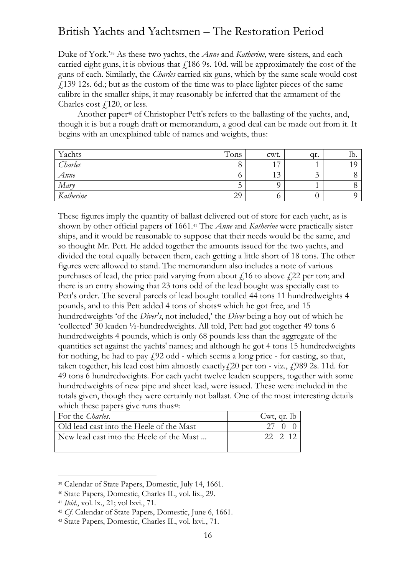Duke of York.' <sup>39</sup> As these two yachts, the *Anne* and *Katherine*, were sisters, and each carried eight guns, it is obvious that  $\ell$ 186 9s. 10d. will be approximately the cost of the guns of each. Similarly, the *Charles* carried six guns, which by the same scale would cost £139 12s. 6d.; but as the custom of the time was to place lighter pieces of the same calibre in the smaller ships, it may reasonably be inferred that the armament of the Charles cost  $\ell$ 120, or less.

Another paper<sup>40</sup> of Christopher Pett's refers to the ballasting of the yachts, and, though it is but a rough draft or memorandum, a good deal can be made out from it. It begins with an unexplained table of names and weights, thus:

| Yachts    | Tons | cwt. | qr. | ID. |
|-----------|------|------|-----|-----|
| Charles   |      | 17   |     |     |
| Anne      |      | 13   |     |     |
| Mary      |      |      |     |     |
| Katherine | 29   |      |     |     |

These figures imply the quantity of ballast delivered out of store for each yacht, as is shown by other official papers of 1661.<sup>41</sup> The *Anne* and *Katherine* were practically sister ships, and it would be reasonable to suppose that their needs would be the same, and so thought Mr. Pett. He added together the amounts issued for the two yachts, and divided the total equally between them, each getting a little short of 18 tons. The other figures were allowed to stand. The memorandum also includes a note of various purchases of lead, the price paid varying from about  $f<sub>i</sub>16$  to above  $f<sub>i</sub>22$  per ton; and there is an entry showing that 23 tons odd of the lead bought was specially cast to Pett's order. The several parcels of lead bought totalled 44 tons 11 hundredweights 4 pounds, and to this Pett added 4 tons of shots<sup>42</sup> which he got free, and 15 hundredweights 'of the *Diver's*, not included,' the *Diver* being a hoy out of which he 'collected' 30 leaden ½-hundredweights. All told, Pett had got together 49 tons 6 hundredweights 4 pounds, which is only 68 pounds less than the aggregate of the quantities set against the yachts' names; and although he got 4 tons 15 hundredweights for nothing, he had to pay  $f(92)$  odd - which seems a long price - for casting, so that, taken together, his lead cost him almostly exactly $f(20 \text{ per ton - viz.}, f(989 \text{ 2s. 11d.} \text{ for }$ 49 tons 6 hundredweights. For each yacht twelve leaden scuppers, together with some hundredweights of new pipe and sheet lead, were issued. These were included in the totals given, though they were certainly not ballast. One of the most interesting details which these papers give runs thus<sup>43</sup>:

| For the <i>Charles</i> .                 | Cwt, qr. $lb$ |
|------------------------------------------|---------------|
| Old lead cast into the Heele of the Mast | 27            |
| New lead cast into the Heele of the Mast | 22 2 12       |

<sup>39</sup> Calendar of State Papers, Domestic, July 14, 1661.

<sup>40</sup> State Papers, Domestic, Charles II., vol. lix., 29.

<sup>41</sup> *Ibid*., vol. lx., 21; vol lxvi., 71.

<sup>42</sup> *Cf*. Calendar of State Papers, Domestic, June 6, 1661.

<sup>43</sup> State Papers, Domestic, Charles II., vol. lxvi., 71.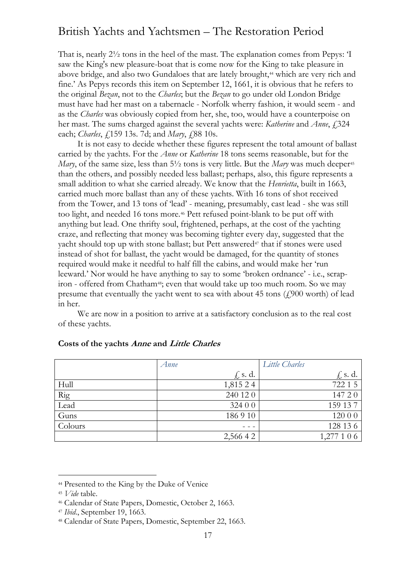That is, nearly 2½ tons in the heel of the mast. The explanation comes from Pepys: 'I saw the King's new pleasure-boat that is come now for the King to take pleasure in above bridge, and also two Gundaloes that are lately brought,<sup>44</sup> which are very rich and fine.' As Pepys records this item on September 12, 1661, it is obvious that he refers to the original *Bezan*, not to the *Charles*; but the *Bezan* to go under old London Bridge must have had her mast on a tabernacle - Norfolk wherry fashion, it would seem - and as the *Charles* was obviously copied from her, she, too, would have a counterpoise on her mast. The sums charged against the several yachts were: *Katherine* and *Anne*, £324 each; *Charles*, £159 13s. 7d; and *Mary*, £88 10s.

It is not easy to decide whether these figures represent the total amount of ballast carried by the yachts. For the *Anne* or *Katherine* 18 tons seems reasonable, but for the *Mary*, of the same size, less than 5<sup>1</sup>/<sub>2</sub> tons is very little. But the *Mary* was much deeper<sup>45</sup> than the others, and possibly needed less ballast; perhaps, also, this figure represents a small addition to what she carried already. We know that the *Henrietta*, built in 1663, carried much more ballast than any of these yachts. With 16 tons of shot received from the Tower, and 13 tons of 'lead' - meaning, presumably, cast lead - she was still too light, and needed 16 tons more.<sup>46</sup> Pett refused point-blank to be put off with anything but lead. One thrifty soul, frightened, perhaps, at the cost of the yachting craze, and reflecting that money was becoming tighter every day, suggested that the yacht should top up with stone ballast; but Pett answered<sup>47</sup> that if stones were used instead of shot for ballast, the yacht would be damaged, for the quantity of stones required would make it needful to half fill the cabins, and would make her 'run leeward.' Nor would he have anything to say to some 'broken ordnance' - i.e., scrapiron - offered from Chatham<sup>48</sup>; even that would take up too much room. So we may presume that eventually the yacht went to sea with about 45 tons  $(f_{1900})$  worth) of lead in her.

We are now in a position to arrive at a satisfactory conclusion as to the real cost of these yachts.

|             | Anne        | Little Charles |
|-------------|-------------|----------------|
|             | $f$ , s. d. | $f_s$ s.d.     |
| Hull        | 1,815 24    | 722 1 5        |
| Rig<br>Lead | 240 12 0    | 147 20         |
|             | 324 0 0     | 159 137        |
| Guns        | 186910      | 120 0 0        |
| Colours     |             | 128 13 6       |
|             | 2,566 4 2   | 1,277 1 0 6    |

#### **Costs of the yachts Anne and Little Charles**

<sup>44</sup> Presented to the King by the Duke of Venice

<sup>45</sup> *Vide* table.

<sup>46</sup> Calendar of State Papers, Domestic, October 2, 1663.

<sup>47</sup> *Ibid*., September 19, 1663.

<sup>48</sup> Calendar of State Papers, Domestic, September 22, 1663.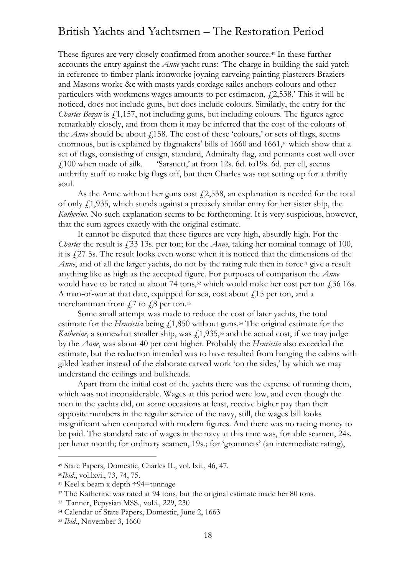These figures are very closely confirmed from another source.<sup>49</sup> In these further accounts the entry against the *Anne* yacht runs: 'The charge in building the said yatch in reference to timber plank ironworke joyning carveing painting plasterers Braziers and Masons worke &c with masts yards cordage sailes anchors colours and other particulers with workmens wages amounts to per estimacon,  $f(2,538)$ . This it will be noticed, does not include guns, but does include colours. Similarly, the entry for the *Charles Bezan* is  $f(1,157)$ , not including guns, but including colours. The figures agree remarkably closely, and from them it may be inferred that the cost of the colours of the *Anne* should be about  $f$ 158. The cost of these 'colours,' or sets of flags, seems enormous, but is explained by flagmakers' bills of 1660 and 1661, <sup>50</sup> which show that a set of flags, consisting of ensign, standard, Admiralty flag, and pennants cost well over  $£100$  when made of silk. 'Sarsnett,' at from 12s. 6d. to19s. 6d. per ell, seems unthrifty stuff to make big flags off, but then Charles was not setting up for a thrifty soul.

As the Anne without her guns cost  $f(2,538)$ , an explanation is needed for the total of only £1,935, which stands against a precisely similar entry for her sister ship, the *Katherine*. No such explanation seems to be forthcoming. It is very suspicious, however, that the sum agrees exactly with the original estimate.

It cannot be disputed that these figures are very high, absurdly high. For the *Charles* the result is £33 13s. per ton; for the *Anne*, taking her nominal tonnage of 100, it is £27 5s. The result looks even worse when it is noticed that the dimensions of the *Anne*, and of all the larger yachts, do not by the rating rule then in force<sup>51</sup> give a result anything like as high as the accepted figure. For purposes of comparison the *Anne* would have to be rated at about 74 tons,<sup>52</sup> which would make her cost per ton  $\frac{1}{2}$ ,36 16s. A man-of-war at that date, equipped for sea, cost about  $f<sub>i</sub>15$  per ton, and a merchantman from  $\sqrt{7}$  to  $\sqrt{7}$  per ton.<sup>53</sup>

Some small attempt was made to reduce the cost of later yachts, the total estimate for the *Henrietta* being  $f_{1,850}$  without guns.<sup>54</sup> The original estimate for the *Katherine*, a somewhat smaller ship, was  $f_1$ ,  $\frac{1}{35}$ ,  $\frac{55}{35}$  and the actual cost, if we may judge by the *Anne*, was about 40 per cent higher. Probably the *Henrietta* also exceeded the estimate, but the reduction intended was to have resulted from hanging the cabins with gilded leather instead of the elaborate carved work 'on the sides,' by which we may understand the ceilings and bulkheads.

Apart from the initial cost of the yachts there was the expense of running them, which was not inconsiderable. Wages at this period were low, and even though the men in the yachts did, on some occasions at least, receive higher pay than their opposite numbers in the regular service of the navy, still, the wages bill looks insignificant when compared with modern figures. And there was no racing money to be paid. The standard rate of wages in the navy at this time was, for able seamen, 24s. per lunar month; for ordinary seamen, 19s.; for 'grommets' (an intermediate rating),

<sup>49</sup> State Papers, Domestic, Charles II., vol. lxii., 46, 47.

<sup>50</sup>*Ibid*., vol.lxvi., 73, 74, 75.

 $51$  Keel x beam x depth  $\div 94$ =tonnage

<sup>52</sup> The Katherine was rated at 94 tons, but the original estimate made her 80 tons.

<sup>53</sup> Tanner, Pepysian MSS., vol.i., 229, 230

<sup>54</sup> Calendar of State Papers, Domestic, June 2, 1663

<sup>55</sup> *Ibid*., November 3, 1660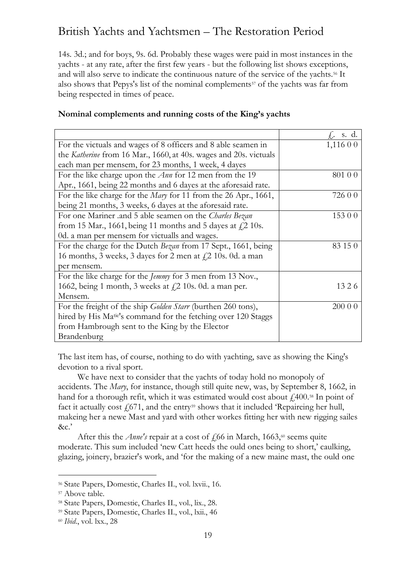14s. 3d.; and for boys, 9s. 6d. Probably these wages were paid in most instances in the yachts - at any rate, after the first few years - but the following list shows exceptions, and will also serve to indicate the continuous nature of the service of the yachts.<sup>56</sup> It also shows that Pepys's list of the nominal complements<sup>57</sup> of the yachts was far from being respected in times of peace.

|                                                                            | $f_r$ s.d. |
|----------------------------------------------------------------------------|------------|
| For the victuals and wages of 8 officers and 8 able seamen in              | 1,11600    |
| the Katherine from 16 Mar., 1660, at 40s. wages and 20s. victuals          |            |
| each man per mensem, for 23 months, 1 week, 4 dayes                        |            |
| For the like charge upon the $Ann$ for 12 men from the 19                  | 801 0 0    |
| Apr., 1661, being 22 months and 6 dayes at the aforesaid rate.             |            |
| For the like charge for the <i>Mary</i> for 11 from the 26 Apr., 1661,     | 726 0 0    |
| being 21 months, 3 weeks, 6 dayes at the aforesaid rate.                   |            |
| For one Mariner .and 5 able seamen on the Charles Bezan                    | 153 0 0    |
| from 15 Mar., 1661, being 11 months and 5 dayes at $f$ . 2 10s.            |            |
| 0d. a man per mensem for victualls and wages.                              |            |
| For the charge for the Dutch Bezan from 17 Sept., 1661, being              | 83 15 0    |
| 16 months, 3 weeks, 3 dayes for 2 men at $f$ , 2 10s. 0d. a man            |            |
| per mensem.                                                                |            |
| For the like charge for the <i>Jemmy</i> for 3 men from 13 Nov.,           |            |
| 1662, being 1 month, 3 weeks at $\zeta$ 2 10s. 0d. a man per.              | 1326       |
| Mensem.                                                                    |            |
| For the freight of the ship <i>Golden Starr</i> (burthen 260 tons),        | 200 0 0    |
| hired by His Ma <sup>tie'</sup> s command for the fetching over 120 Staggs |            |
| from Hambrough sent to the King by the Elector                             |            |
| Brandenburg                                                                |            |

The last item has, of course, nothing to do with yachting, save as showing the King's devotion to a rival sport.

We have next to consider that the yachts of today hold no monopoly of accidents. The *Mary*, for instance, though still quite new, was, by September 8, 1662, in hand for a thorough refit, which it was estimated would cost about  $\ell$  400.<sup>58</sup> In point of fact it actually cost  $f_1(671)$ , and the entry<sup>59</sup> shows that it included 'Repaireing her hull, makeing her a newe Mast and yard with other workes fitting her with new rigging sailes &c.'

After this the *Anne's* repair at a cost of  $\frac{1}{66}$  in March, 1663,<sup>60</sup> seems quite moderate. This sum included 'new Catt heeds the ould ones being to short,' caulking, glazing, joinery, brazier's work, and 'for the making of a new maine mast, the ould one

<sup>56</sup> State Papers, Domestic, Charles II., vol. lxvii., 16.

<sup>57</sup> Above table.

<sup>58</sup> State Papers, Domestic, Charles II., vol., lix., 28.

<sup>59</sup> State Papers, Domestic, Charles II., vol., lxii., 46

<sup>60</sup> *Ibid*., vol. lxx., 28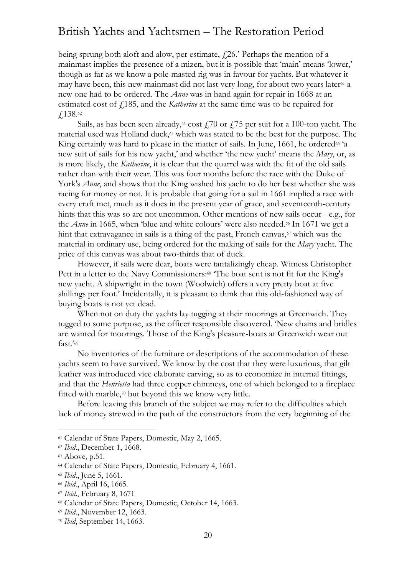being sprung both aloft and alow, per estimate,  $f$ 26.' Perhaps the mention of a mainmast implies the presence of a mizen, but it is possible that 'main' means 'lower,' though as far as we know a pole-masted rig was in favour for yachts. But whatever it may have been, this new mainmast did not last very long, for about two years later<sup>61</sup> a new one had to be ordered. The *Anne* was in hand again for repair in 1668 at an estimated cost of £185, and the *Katherine* at the same time was to be repaired for £138.<sup>62</sup>

Sails, as has been seen already,<sup>63</sup> cost  $\frac{170}{175}$  per suit for a 100-ton yacht. The material used was Holland duck,<sup>64</sup> which was stated to be the best for the purpose. The King certainly was hard to please in the matter of sails. In June, 1661, he ordered<sup>65</sup> 'a new suit of sails for his new yacht,' and whether 'the new yacht' means the *Mary*, or, as is more likely, the *Katherine*, it is clear that the quarrel was with the fit of the old sails rather than with their wear. This was four months before the race with the Duke of York's *Anne*, and shows that the King wished his yacht to do her best whether she was racing for money or not. It is probable that going for a sail in 1661 implied a race with every craft met, much as it does in the present year of grace, and seventeenth-century hints that this was so are not uncommon. Other mentions of new sails occur - e.g., for the *Anne* in 1665, when 'blue and white colours' were also needed.<sup>66</sup> In 1671 we get a hint that extravagance in sails is a thing of the past, French canvas, $\sigma$  which was the material in ordinary use, being ordered for the making of sails for the *Mary* yacht. The price of this canvas was about two-thirds that of duck.

However, if sails were dear, boats were tantalizingly cheap. Witness Christopher Pett in a letter to the Navy Commissioners:<sup>68</sup> The boat sent is not fit for the King's new yacht. A shipwright in the town (Woolwich) offers a very pretty boat at five shillings per foot.' Incidentally, it is pleasant to think that this old-fashioned way of buying boats is not yet dead.

When not on duty the yachts lay tugging at their moorings at Greenwich. They tugged to some purpose, as the officer responsible discovered. 'New chains and bridles are wanted for moorings. Those of the King's pleasure-boats at Greenwich wear out fast.'<sup>69</sup>

No inventories of the furniture or descriptions of the accommodation of these yachts seem to have survived. We know by the cost that they were luxurious, that gilt leather was introduced vice elaborate carving, so as to economize in internal fittings, and that the *Henrietta* had three copper chimneys, one of which belonged to a fireplace fitted with marble,<sup>70</sup> but beyond this we know very little.

Before leaving this branch of the subject we may refer to the difficulties which lack of money strewed in the path of the constructors from the very beginning of the

<sup>61</sup> Calendar of State Papers, Domestic, May 2, 1665.

<sup>62</sup> *Ibid*., December 1, 1668.

<sup>63</sup> Above, p.51.

<sup>64</sup> Calendar of State Papers, Domestic, February 4, 1661.

<sup>65</sup> *Ibid*., June 5, 1661.

<sup>66</sup> *Ibid*., April 16, 1665.

<sup>67</sup> *Ibid*., February 8, 1671

<sup>68</sup> Calendar of State Papers, Domestic, October 14, 1663.

<sup>69</sup> *Ibid*., November 12, 1663.

<sup>70</sup> *Ibid*, September 14, 1663.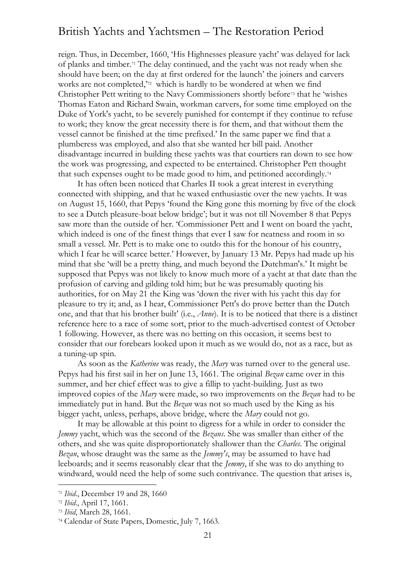reign. Thus, in December, 1660, 'His Highnesses pleasure yacht' was delayed for lack of planks and timber.<sup>71</sup> The delay continued, and the yacht was not ready when she should have been; on the day at first ordered for the launch' the joiners and carvers works are not completed,'<sup>72</sup> which is hardly to be wondered at when we find Christopher Pett writing to the Navy Commissioners shortly before<sup>73</sup> that he 'wishes Thomas Eaton and Richard Swain, workman carvers, for some time employed on the Duke of York's yacht, to be severely punished for contempt if they continue to refuse to work; they know the great necessity there is for them, and that without them the vessel cannot be finished at the time prefixed.' In the same paper we find that a plumberess was employed, and also that she wanted her bill paid. Another disadvantage incurred in building these yachts was that courtiers ran down to see how the work was progressing, and expected to be entertained. Christopher Pett thought that such expenses ought to be made good to him, and petitioned accordingly.<sup>74</sup>

It has often been noticed that Charles II took a great interest in everything connected with shipping, and that he waxed enthusiastic over the new yachts. It was on August 15, 1660, that Pepys 'found the King gone this morning by five of the clock to see a Dutch pleasure-boat below bridge'; but it was not till November 8 that Pepys saw more than the outside of her. 'Commissioner Pett and I went on board the yacht, which indeed is one of the finest things that ever I saw for neatness and room in so small a vessel. Mr. Pett is to make one to outdo this for the honour of his country, which I fear he will scarce better.' However, by January 13 Mr. Pepys had made up his mind that she 'will be a pretty thing, and much beyond the Dutchman's.' It might be supposed that Pepys was not likely to know much more of a yacht at that date than the profusion of carving and gilding told him; but he was presumably quoting his authorities, for on May 21 the King was 'down the river with his yacht this day for pleasure to try it; and, as I hear, Commissioner Pett's do prove better than the Dutch one, and that that his brother built' (i.e., *Anne*). It is to be noticed that there is a distinct reference here to a race of some sort, prior to the much-advertised contest of October 1 following. However, as there was no betting on this occasion, it seems best to consider that our forebears looked upon it much as we would do, not as a race, but as a tuning-up spin.

As soon as the *Katherine* was ready, the *Mary* was turned over to the general use. Pepys had his first sail in her on June 13, 1661. The original *Bezan* came over in this summer, and her chief effect was to give a fillip to yacht-building. Just as two improved copies of the *Mary* were made, so two improvements on the *Bezan* had to be immediately put in hand. But the *Bezan* was not so much used by the King as his bigger yacht, unless, perhaps, above bridge, where the *Mary* could not go.

It may be allowable at this point to digress for a while in order to consider the *Jemmy* yacht, which was the second of the *Bezans*. She was smaller than either of the others, and she was quite disproportionately shallower than the *Charles*. The original *Bezan*, whose draught was the same as the *Jemmy's*, may be assumed to have had leeboards; and it seems reasonably clear that the *Jemmy*, if she was to do anything to windward, would need the help of some such contrivance. The question that arises is,

<sup>71</sup> *Ibid*., December 19 and 28, 1660

<sup>72</sup> *Ibid*., April 17, 1661.

<sup>73</sup> *Ibid*, March 28, 1661.

<sup>74</sup> Calendar of State Papers, Domestic, July 7, 1663.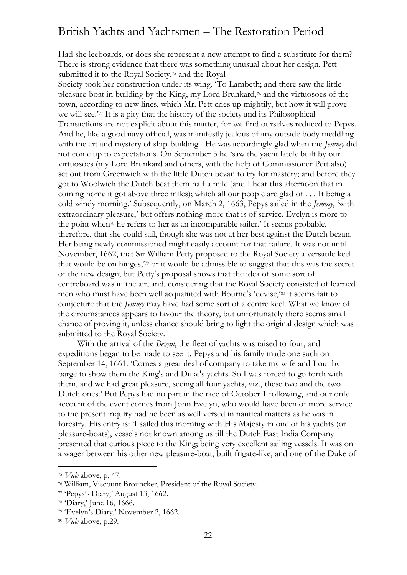Had she leeboards, or does she represent a new attempt to find a substitute for them? There is strong evidence that there was something unusual about her design. Pett submitted it to the Royal Society,<sup>75</sup> and the Royal

Society took her construction under its wing. 'To Lambeth; and there saw the little pleasure-boat in building by the King, my Lord Brunkard,<sup>76</sup> and the virtuosoes of the town, according to new lines, which Mr. Pett cries up mightily, but how it will prove we will see.'<sup>77</sup> It is a pity that the history of the society and its Philosophical Transactions are not explicit about this matter, for we find ourselves reduced to Pepys. And he, like a good navy official, was manifestly jealous of any outside body meddling with the art and mystery of ship-building. -He was accordingly glad when the *Jemmy* did not come up to expectations. On September 5 he 'saw the yacht lately built by our virtuosoes (my Lord Brunkard and others, with the help of Commissioner Pett also) set out from Greenwich with the little Dutch bezan to try for mastery; and before they got to Woolwich the Dutch beat them half a mile (and I hear this afternoon that in coming home it got above three miles); which all our people are glad of . . . It being a cold windy morning.' Subsequently, on March 2, 1663, Pepys sailed in the *Jemmy*, 'with extraordinary pleasure,' but offers nothing more that is of service. Evelyn is more to the point when<sup>78</sup> he refers to her as an incomparable sailer.' It seems probable, therefore, that she could sail, though she was not at her best against the Dutch bezan. Her being newly commissioned might easily account for that failure. It was not until November, 1662, that Sir William Petty proposed to the Royal Society a versatile keel that would be on hinges,'<sup>79</sup> or it would be admissible to suggest that this was the secret of the new design; but Petty's proposal shows that the idea of some sort of centreboard was in the air, and, considering that the Royal Society consisted of learned men who must have been well acquainted with Bourne's 'devise,'<sup>80</sup> it seems fair to conjecture that the *Jemmy* may have had some sort of a centre keel. What we know of the circumstances appears to favour the theory, but unfortunately there seems small chance of proving it, unless chance should bring to light the original design which was submitted to the Royal Society.

With the arrival of the *Bezan*, the fleet of yachts was raised to four, and expeditions began to be made to see it. Pepys and his family made one such on September 14, 1661. 'Comes a great deal of company to take my wife and I out by barge to show them the King's and Duke's yachts. So I was forced to go forth with them, and we had great pleasure, seeing all four yachts, viz., these two and the two Dutch ones.' But Pepys had no part in the race of October 1 following, and our only account of the event comes from John Evelyn, who would have been of more service to the present inquiry had he been as well versed in nautical matters as he was in forestry. His entry is: 'I sailed this morning with His Majesty in one of his yachts (or pleasure-boats), vessels not known among us till the Dutch East India Company presented that curious piece to the King; being very excellent sailing vessels. It was on a wager between his other new pleasure-boat, built frigate-like, and one of the Duke of

<sup>75</sup> *Vide* above, p. 47.

<sup>76</sup> William, Viscount Brouncker, President of the Royal Society.

<sup>77</sup> 'Pepys's Diary,' August 13, 1662.

<sup>78</sup> 'Diary,' June 16, 1666.

<sup>79</sup> 'Evelyn's Diary,' November 2, 1662.

<sup>80</sup> *Vide* above, p.29.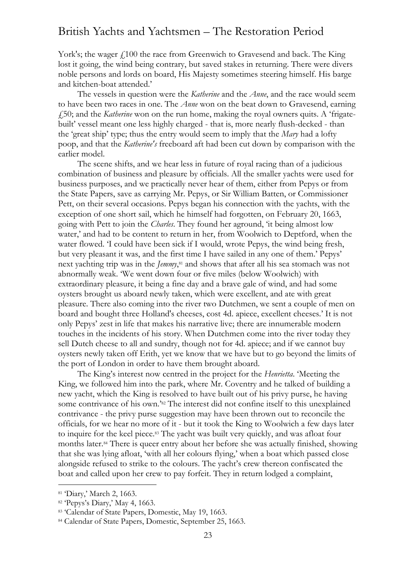York's; the wager  $f<sub>100</sub>$  the race from Greenwich to Gravesend and back. The King lost it going, the wind being contrary, but saved stakes in returning. There were divers noble persons and lords on board, His Majesty sometimes steering himself. His barge and kitchen-boat attended.'

The vessels in question were the *Katherine* and the *Anne*, and the race would seem to have been two races in one. The *Anne* won on the beat down to Gravesend, earning £50; and the *Katherine* won on the run home, making the royal owners quits. A 'frigatebuilt' vessel meant one less highly charged - that is, more nearly flush-decked - than the 'great ship' type; thus the entry would seem to imply that the *Mary* had a lofty poop, and that the *Katherine's* freeboard aft had been cut down by comparison with the earlier model.

The scene shifts, and we hear less in future of royal racing than of a judicious combination of business and pleasure by officials. All the smaller yachts were used for business purposes, and we practically never hear of them, either from Pepys or from the State Papers, save as carrying Mr. Pepys, or Sir William Batten, or Commissioner Pett, on their several occasions. Pepys began his connection with the yachts, with the exception of one short sail, which he himself had forgotten, on February 20, 1663, going with Pett to join the *Charles*. They found her aground, 'it being almost low water,' and had to be content to return in her, from Woolwich to Deptford, when the water flowed. 'I could have been sick if I would, wrote Pepys, the wind being fresh, but very pleasant it was, and the first time I have sailed in any one of them.' Pepys' next yachting trip was in the *Jemmy*, <sup>81</sup> and shows that after all his sea stomach was not abnormally weak. 'We went down four or five miles (below Woolwich) with extraordinary pleasure, it being a fine day and a brave gale of wind, and had some oysters brought us aboard newly taken, which were excellent, and ate with great pleasure. There also coming into the river two Dutchmen, we sent a couple of men on board and bought three Holland's cheeses, cost 4d. apiece, excellent cheeses.' It is not only Pepys' zest in life that makes his narrative live; there are innumerable modern touches in the incidents of his story. When Dutchmen come into the river today they sell Dutch cheese to all and sundry, though not for 4d. apiece; and if we cannot buy oysters newly taken off Erith, yet we know that we have but to go beyond the limits of the port of London in order to have them brought aboard.

The King's interest now centred in the project for the *Henrietta*. 'Meeting the King, we followed him into the park, where Mr. Coventry and he talked of building a new yacht, which the King is resolved to have built out of his privy purse, he having some contrivance of his own.' <sup>82</sup> The interest did not confine itself to this unexplained contrivance - the privy purse suggestion may have been thrown out to reconcile the officials, for we hear no more of it - but it took the King to Woolwich a few days later to inquire for the keel piece.<sup>83</sup> The yacht was built very quickly, and was afloat four months later.<sup>84</sup> There is queer entry about her before she was actually finished, showing that she was lying afloat, 'with all her colours flying,' when a boat which passed close alongside refused to strike to the colours. The yacht's crew thereon confiscated the boat and called upon her crew to pay forfeit. They in return lodged a complaint,

<sup>81</sup> 'Diary,' March 2, 1663.

<sup>82</sup> 'Pepys's Diary,' May 4, 1663.

<sup>83 &#</sup>x27;Calendar of State Papers, Domestic, May 19, 1663.

<sup>84</sup> Calendar of State Papers, Domestic, September 25, 1663.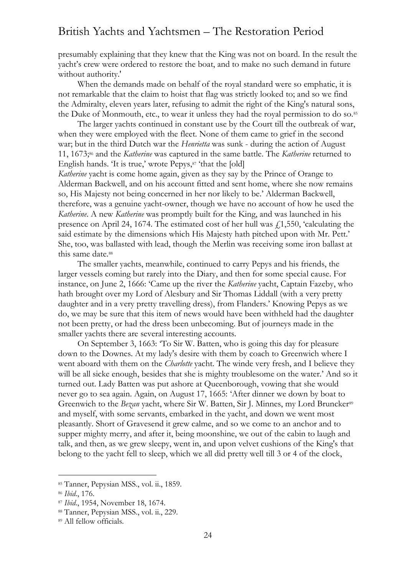presumably explaining that they knew that the King was not on board. In the result the yacht's crew were ordered to restore the boat, and to make no such demand in future without authority.'

When the demands made on behalf of the royal standard were so emphatic, it is not remarkable that the claim to hoist that flag was strictly looked to; and so we find the Admiralty, eleven years later, refusing to admit the right of the King's natural sons, the Duke of Monmouth, etc., to wear it unless they had the royal permission to do so.<sup>85</sup>

The larger yachts continued in constant use by the Court till the outbreak of war, when they were employed with the fleet. None of them came to grief in the second war; but in the third Dutch war the *Henrietta* was sunk - during the action of August 11, 1673; <sup>86</sup> and the *Katherine* was captured in the same battle. The *Katherine* returned to English hands. 'It is true,' wrote Pepys,<sup>87</sup> 'that the [old]

*Katherine* yacht is come home again, given as they say by the Prince of Orange to Alderman Backwell, and on his account fitted and sent home, where she now remains so, His Majesty not being concerned in her nor likely to be.' Alderman Backwell, therefore, was a genuine yacht-owner, though we have no account of how he used the *Katherine*. A new *Katherine* was promptly built for the King, and was launched in his presence on April 24, 1674. The estimated cost of her hull was  $f(1,550)$ , 'calculating the said estimate by the dimensions which His Majesty hath pitched upon with Mr. Pett.' She, too, was ballasted with lead, though the Merlin was receiving some iron ballast at this same date.<sup>88</sup>

The smaller yachts, meanwhile, continued to carry Pepys and his friends, the larger vessels coming but rarely into the Diary, and then for some special cause. For instance, on June 2, 1666: 'Came up the river the *Katherine* yacht, Captain Fazeby, who hath brought over my Lord of Alesbury and Sir Thomas Liddall (with a very pretty daughter and in a very pretty travelling dress), from Flanders.' Knowing Pepys as we do, we may be sure that this item of news would have been withheld had the daughter not been pretty, or had the dress been unbecoming. But of journeys made in the smaller yachts there are several interesting accounts.

On September 3, 1663: 'To Sir W. Batten, who is going this day for pleasure down to the Downes. At my lady's desire with them by coach to Greenwich where I went aboard with them on the *Charlotte* yacht. The winde very fresh, and I believe they will be all sicke enough, besides that she is mighty troublesome on the water.' And so it turned out. Lady Batten was put ashore at Queenborough, vowing that she would never go to sea again. Again, on August 17, 1665: 'After dinner we down by boat to Greenwich to the *Bezan* yacht, where Sir W. Batten, Sir J. Minnes, my Lord Bruncker<sup>89</sup> and myself, with some servants, embarked in the yacht, and down we went most pleasantly. Short of Gravesend it grew calme, and so we come to an anchor and to supper mighty merry, and after it, being moonshine, we out of the cabin to laugh and talk, and then, as we grew sleepy, went in, and upon velvet cushions of the King's that belong to the yacht fell to sleep, which we all did pretty well till 3 or 4 of the clock,

<sup>85</sup> Tanner, Pepysian MSS., vol. ii., 1859.

<sup>86</sup> *Ibid*., 176.

<sup>87</sup> *Ibid*., 1954, November 18, 1674.

<sup>88</sup> Tanner, Pepysian MSS., vol. ii., 229.

<sup>89</sup> All fellow officials.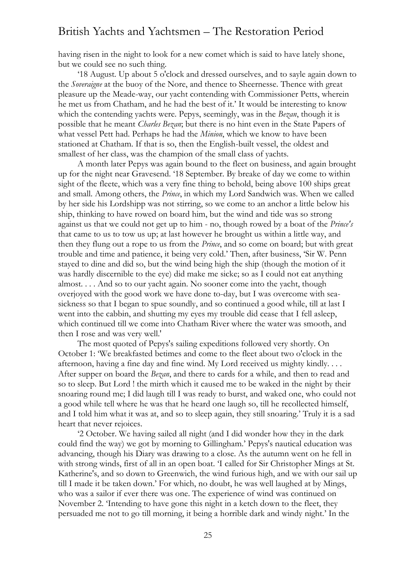having risen in the night to look for a new comet which is said to have lately shone, but we could see no such thing.

'18 August. Up about 5 o'clock and dressed ourselves, and to sayle again down to the *Soveraigne* at the buoy of the Nore, and thence to Sheernesse. Thence with great pleasure up the Meade-way, our yacht contending with Commissioner Petts, wherein he met us from Chatham, and he had the best of it.' It would be interesting to know which the contending yachts were. Pepys, seemingly, was in the *Bezan*, though it is possible that he meant *Charles Bezan*; but there is no hint even in the State Papers of what vessel Pett had. Perhaps he had the *Minion*, which we know to have been stationed at Chatham. If that is so, then the English-built vessel, the oldest and smallest of her class, was the champion of the small class of yachts.

A month later Pepys was again bound to the fleet on business, and again brought up for the night near Gravesend. '18 September. By breake of day we come to within sight of the fleete, which was a very fine thing to behold, being above 100 ships great and small. Among others, the *Prince*, in which my Lord Sandwich was. When we called by her side his Lordshipp was not stirring, so we come to an anchor a little below his ship, thinking to have rowed on board him, but the wind and tide was so strong against us that we could not get up to him - no, though rowed by a boat of the *Prince's* that came to us to tow us up; at last however he brought us within a little way, and then they flung out a rope to us from the *Prince*, and so come on board; but with great trouble and time and patience, it being very cold.' Then, after business, 'Sir W. Penn stayed to dine and did so, but the wind being high the ship (though the motion of it was hardly discernible to the eye) did make me sicke; so as I could not eat anything almost. . . . And so to our yacht again. No sooner come into the yacht, though overjoyed with the good work we have done to-day, but I was overcome with seasickness so that I began to spue soundly, and so continued a good while, till at last I went into the cabbin, and shutting my eyes my trouble did cease that I fell asleep, which continued till we come into Chatham River where the water was smooth, and then I rose and was very well.'

The most quoted of Pepys's sailing expeditions followed very shortly. On October 1: 'We breakfasted betimes and come to the fleet about two o'clock in the afternoon, having a fine day and fine wind. My Lord received us mighty kindly. . . . After supper on board the *Bezan*, and there to cards for a while, and then to read and so to sleep. But Lord ! the mirth which it caused me to be waked in the night by their snoaring round me; I did laugh till I was ready to burst, and waked one, who could not a good while tell where he was that he heard one laugh so, till he recollected himself, and I told him what it was at, and so to sleep again, they still snoaring.' Truly it is a sad heart that never rejoices.

'2 October. We having sailed all night (and I did wonder how they in the dark could find the way) we got by morning to Gillingham.' Pepys's nautical education was advancing, though his Diary was drawing to a close. As the autumn went on he fell in with strong winds, first of all in an open boat. 'I called for Sir Christopher Mings at St. Katherine's, and so down to Greenwich, the wind furious high, and we with our sail up till I made it be taken down.' For which, no doubt, he was well laughed at by Mings, who was a sailor if ever there was one. The experience of wind was continued on November 2. 'Intending to have gone this night in a ketch down to the fleet, they persuaded me not to go till morning, it being a horrible dark and windy night.' In the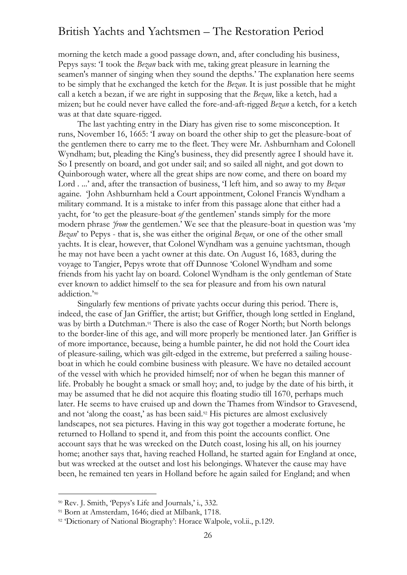morning the ketch made a good passage down, and, after concluding his business, Pepys says: 'I took the *Bezan* back with me, taking great pleasure in learning the seamen's manner of singing when they sound the depths.' The explanation here seems to be simply that he exchanged the ketch for the *Bezan*. It is just possible that he might call a ketch a bezan, if we are right in supposing that the *Bezan*, like a ketch, had a mizen; but he could never have called the fore-and-aft-rigged *Bezan* a ketch, for a ketch was at that date square-rigged.

The last yachting entry in the Diary has given rise to some misconception. It runs, November 16, 1665: 'I away on board the other ship to get the pleasure-boat of the gentlemen there to carry me to the fleet. They were Mr. Ashburnham and Colonell Wyndham; but, pleading the King's business, they did presently agree I should have it. So I presently on board, and got under sail; and so sailed all night, and got down to Quinborough water, where all the great ships are now come, and there on board my Lord . ...' and, after the transaction of business, 'I left him, and so away to my *Bezan* againe. 'John Ashburnham held a Court appointment, Colonel Francis Wyndham a military command. It is a mistake to infer from this passage alone that either had a yacht, for 'to get the pleasure-boat *of* the gentlemen' stands simply for the more modern phrase *'from* the gentlemen.' We see that the pleasure-boat in question was 'my *Bezan*' to Pepys - that is, she was either the original *Bezan*, or one of the other small yachts. It is clear, however, that Colonel Wyndham was a genuine yachtsman, though he may not have been a yacht owner at this date. On August 16, 1683, during the voyage to Tangier, Pepys wrote that off Dunnose 'Colonel Wyndham and some friends from his yacht lay on board. Colonel Wyndham is the only gentleman of State ever known to addict himself to the sea for pleasure and from his own natural addiction.'<sup>90</sup>

Singularly few mentions of private yachts occur during this period. There is, indeed, the case of Jan Griffier, the artist; but Griffier, though long settled in England, was by birth a Dutchman.<sup>91</sup> There is also the case of Roger North; but North belongs to the border-line of this age, and will more properly be mentioned later. Jan Griffier is of more importance, because, being a humble painter, he did not hold the Court idea of pleasure-sailing, which was gilt-edged in the extreme, but preferred a sailing houseboat in which he could combine business with pleasure. We have no detailed account of the vessel with which he provided himself; nor of when he began this manner of life. Probably he bought a smack or small hoy; and, to judge by the date of his birth, it may be assumed that he did not acquire this floating studio till 1670, perhaps much later. He seems to have cruised up and down the Thames from Windsor to Gravesend, and not 'along the coast,' as has been said.<sup>92</sup> His pictures are almost exclusively landscapes, not sea pictures. Having in this way got together a moderate fortune, he returned to Holland to spend it, and from this point the accounts conflict. One account says that he was wrecked on the Dutch coast, losing his all, on his journey home; another says that, having reached Holland, he started again for England at once, but was wrecked at the outset and lost his belongings. Whatever the cause may have been, he remained ten years in Holland before he again sailed for England; and when

<sup>90</sup> Rev. J. Smith, 'Pepys's Life and Journals,' i., 332.

<sup>91</sup> Born at Amsterdam, 1646; died at Milbank, 1718.

<sup>92</sup> 'Dictionary of National Biography': Horace Walpole, vol.ii., p.129.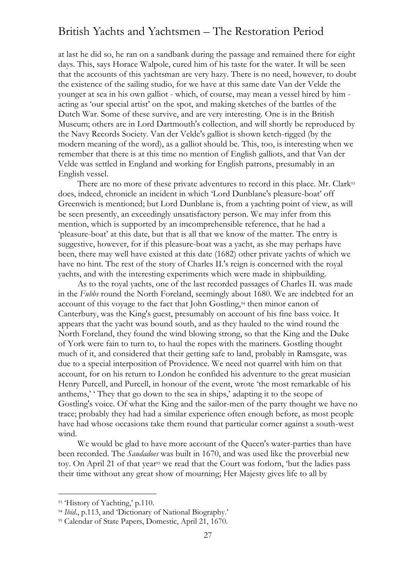at last he did so, he ran on a sandbank during the passage and remained there for eight days. This, says Horace Walpole, cured him of his taste for the water. It will be seen that the accounts of this yachtsman are very hazy. There is no need, however, to doubt the existence of the sailing studio, for we have at this same date Van der Velde the younger at sea in his own galliot - which, of course, may mean a vessel hired by him acting as 'our special artist' on the spot, and making sketches of the battles of the Dutch War. Some of these survive, and are very interesting. One is in the British Museum; others are in Lord Dartmouth's collection, and will shortly be reproduced by the Navy Records Society. Van der Velde's galliot is shown ketch-rigged (by the modern meaning of the word), as a galliot should be. This, too, is interesting when we remember that there is at this time no mention of English galliots, and that Van der Velde was settled in England and working for English patrons, presumably in an English vessel.

There are no more of these private adventures to record in this place. Mr. Clark<sup>93</sup> does, indeed, chronicle an incident in which 'Lord Dunblane's pleasure-boat' off Greenwich is mentioned; but Lord Dunblane is, from a yachting point of view, as will be seen presently, an exceedingly unsatisfactory person. We may infer from this mention, which is supported by an imcomprehensible reference, that he had a 'pleasure-boat' at this date, but that is all that we know of the matter. The entry is suggestive, however, for if this pleasure-boat was a yacht, as she may perhaps have been, there may well have existed at this date (1682) other private yachts of which we have no hint. The rest of the story of Charles II.'s reign is concerned with the royal yachts, and with the interesting experiments which were made in shipbuilding.

As to the royal yachts, one of the last recorded passages of Charles II. was made in the *Fubbs* round the North Foreland, seemingly about 1680. We are indebted for an account of this voyage to the fact that John Gostling,<sup>94</sup> then minor canon of Canterbury, was the King's guest, presumably on account of his fine bass voice. It appears that the yacht was bound south, and as they hauled to the wind round the North Foreland, they found the wind blowing strong, so that the King and the Duke of York were fain to turn to, to haul the ropes with the mariners. Gostling thought much of it, and considered that their getting safe to land, probably in Ramsgate, was due to a special interposition of Providence. We need not quarrel with him on that account, for on his return to London he confided his adventure to the great musician Henry Purcell, and Purcell, in honour of the event, wrote 'the most remarkable of his anthems,' ' They that go down to the sea in ships,' adapting it to the scope of Gostling's voice. Of what the King and the sailor-men of the party thought we have no trace; probably they had had a similar experience often enough before, as most people have had whose occasions take them round that particular corner against a south-west wind.

We would be glad to have more account of the Queen's water-parties than have been recorded. The *Saudadoes* was built in 1670, and was used like the proverbial new toy. On April 21 of that year<sup>95</sup> we read that the Court was forlorn, 'but the ladies pass their time without any great show of mourning; Her Majesty gives life to all by

<sup>93 &#</sup>x27;History of Yachting,' p.110.

<sup>&</sup>lt;sup>94</sup> *Ibid.*, p.113, and 'Dictionary of National Biography.'

<sup>95</sup> Calendar of State Papers, Domestic, April 21, 1670.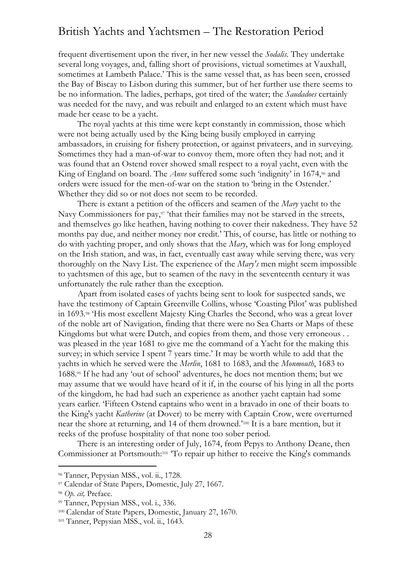frequent divertisement upon the river, in her new vessel the *Sodalis*. They undertake several long voyages, and, falling short of provisions, victual sometimes at Vauxhall, sometimes at Lambeth Palace.' This is the same vessel that, as has been seen, crossed the Bay of Biscay to Lisbon during this summer, but of her further use there seems to be no information. The ladies, perhaps, got tired of the water; the *Saudadoes* certainly was needed for the navy, and was rebuilt and enlarged to an extent which must have made her cease to be a yacht.

The royal yachts at this time were kept constantly in commission, those which were not being actually used by the King being busily employed in carrying ambassadors, in cruising for fishery protection, or against privateers, and in surveying. Sometimes they had a man-of-war to convoy them, more often they had not; and it was found that an Ostend rover showed small respect to a royal yacht, even with the King of England on board. The *Anne* suffered some such 'indignity' in 1674,<sup>96</sup> and orders were issued for the men-of-war on the station to 'bring in the Ostender.' Whether they did so or not does not seem to be recorded.

There is extant a petition of the officers and seamen of the *Mary* yacht to the Navy Commissioners for pay,<sup>97</sup> 'that their families may not be starved in the streets, and themselves go like heathen, having nothing to cover their nakedness. They have 52 months pay due, and neither money nor credit.' This, of course, has little or nothing to do with yachting proper, and only shows that the *Mary*, which was for long employed on the Irish station, and was, in fact, eventually cast away while serving there, was very thoroughly on the Navy List. The experience of the *Mary's* men might seem impossible to yachtsmen of this age, but to seamen of the navy in the seventeenth century it was unfortunately the rule rather than the exception.

Apart from isolated cases of yachts being sent to look for suspected sands, we have the testimony of Captain Greenville Collins, whose 'Coasting Pilot' was published in 1693.<sup>98</sup> 'His most excellent Majesty King Charles the Second, who was a great lover of the noble art of Navigation, finding that there were no Sea Charts or Maps of these Kingdoms but what were Dutch, and copies from them, and those very erroneous . . was pleased in the year 1681 to give me the command of a Yacht for the making this survey; in which service I spent 7 years time.' It may be worth while to add that the yachts in which he served were the *Merlin*, 1681 to 1683, and the *Monmouth*, 1683 to 1688.<sup>99</sup> If he had any 'out of school' adventures, he does not mention them; but we may assume that we would have heard of it if, in the course of his lying in all the ports of the kingdom, he had had such an experience as another yacht captain had some years earlier. 'Fifteen Ostend captains who went in a bravado in one of their boats to the King's yacht *Katherine* (at Dover) to be merry with Captain Crow, were overturned near the shore at returning, and 14 of them drowned.' <sup>100</sup> It is a bare mention, but it reeks of the profuse hospitality of that none too sober period.

There is an interesting order of July, 1674, from Pepys to Anthony Deane, then Commissioner at Portsmouth: 101 'To repair up hither to receive the King's commands

<sup>96</sup> Tanner, Pepysian MSS., vol. ii., 1728.

<sup>97</sup> Calendar of State Papers, Domestic, July 27, 1667.

<sup>98</sup> *Op. cit,* Preface.

<sup>99</sup> Tanner, Pepysian MSS., vol. i., 336.

<sup>100</sup> Calendar of State Papers, Domestic, January 27, 1670.

<sup>101</sup> Tanner, Pepysian MSS., vol. ii., 1643.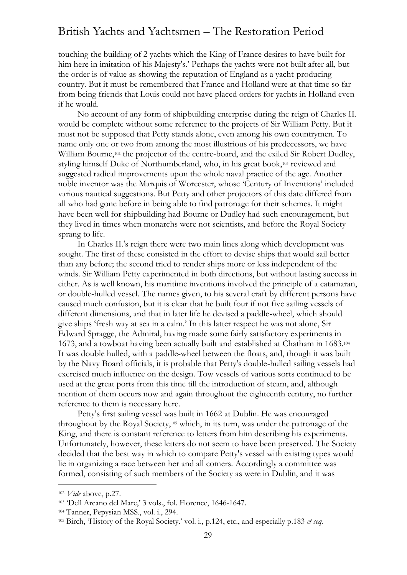touching the building of 2 yachts which the King of France desires to have built for him here in imitation of his Majesty's.' Perhaps the yachts were not built after all, but the order is of value as showing the reputation of England as a yacht-producing country. But it must be remembered that France and Holland were at that time so far from being friends that Louis could not have placed orders for yachts in Holland even if he would.

No account of any form of shipbuilding enterprise during the reign of Charles II. would be complete without some reference to the projects of Sir William Petty. But it must not be supposed that Petty stands alone, even among his own countrymen. To name only one or two from among the most illustrious of his predecessors, we have William Bourne,<sup>102</sup> the projector of the centre-board, and the exiled Sir Robert Dudley, styling himself Duke of Northumberland, who, in his great book,<sup>103</sup> reviewed and suggested radical improvements upon the whole naval practice of the age. Another noble inventor was the Marquis of Worcester, whose 'Century of Inventions' included various nautical suggestions. But Petty and other projectors of this date differed from all who had gone before in being able to find patronage for their schemes. It might have been well for shipbuilding had Bourne or Dudley had such encouragement, but they lived in times when monarchs were not scientists, and before the Royal Society sprang to life.

In Charles II.'s reign there were two main lines along which development was sought. The first of these consisted in the effort to devise ships that would sail better than any before; the second tried to render ships more or less independent of the winds. Sir William Petty experimented in both directions, but without lasting success in either. As is well known, his maritime inventions involved the principle of a catamaran, or double-hulled vessel. The names given, to his several craft by different persons have caused much confusion, but it is clear that he built four if not five sailing vessels of different dimensions, and that in later life he devised a paddle-wheel, which should give ships 'fresh way at sea in a calm.' In this latter respect he was not alone, Sir Edward Spragge, the Admiral, having made some fairly satisfactory experiments in 1673, and a towboat having been actually built and established at Chatham in 1683.<sup>104</sup> It was double hulled, with a paddle-wheel between the floats, and, though it was built by the Navy Board officials, it is probable that Petty's double-hulled sailing vessels had exercised much influence on the design. Tow vessels of various sorts continued to be used at the great ports from this time till the introduction of steam, and, although mention of them occurs now and again throughout the eighteenth century, no further reference to them is necessary here.

Petty's first sailing vessel was built in 1662 at Dublin. He was encouraged throughout by the Royal Society,<sup>105</sup> which, in its turn, was under the patronage of the King, and there is constant reference to letters from him describing his experiments. Unfortunately, however, these letters do not seem to have been preserved. The Society decided that the best way in which to compare Petty's vessel with existing types would lie in organizing a race between her and all comers. Accordingly a committee was formed, consisting of such members of the Society as were in Dublin, and it was

<sup>102</sup> *Vide* above, p.27.

<sup>103</sup> 'Dell Arcano del Mare,' 3 vols., fol. Florence, 1646-1647.

<sup>104</sup> Tanner, Pepysian MSS., vol. i., 294.

<sup>105</sup> Birch, 'History of the Royal Society.' vol. i., p.124, etc., and especially p.183 *et seq.*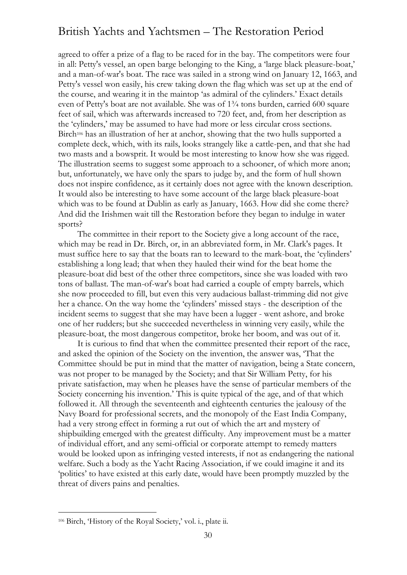agreed to offer a prize of a flag to be raced for in the bay. The competitors were four in all: Petty's vessel, an open barge belonging to the King, a 'large black pleasure-boat,' and a man-of-war's boat. The race was sailed in a strong wind on January 12, 1663, and Petty's vessel won easily, his crew taking down the flag which was set up at the end of the course, and wearing it in the maintop 'as admiral of the cylinders.' Exact details even of Petty's boat are not available. She was of 1¾ tons burden, carried 600 square feet of sail, which was afterwards increased to 720 feet, and, from her description as the 'cylinders,' may be assumed to have had more or less circular cross sections. Birch<sup>106</sup> has an illustration of her at anchor, showing that the two hulls supported a complete deck, which, with its rails, looks strangely like a cattle-pen, and that she had two masts and a bowsprit. It would be most interesting to know how she was rigged. The illustration seems to suggest some approach to a schooner, of which more anon; but, unfortunately, we have only the spars to judge by, and the form of hull shown does not inspire confidence, as it certainly does not agree with the known description. It would also be interesting to have some account of the large black pleasure-boat which was to be found at Dublin as early as January, 1663. How did she come there? And did the Irishmen wait till the Restoration before they began to indulge in water sports?

The committee in their report to the Society give a long account of the race, which may be read in Dr. Birch, or, in an abbreviated form, in Mr. Clark's pages. It must suffice here to say that the boats ran to leeward to the mark-boat, the 'cylinders' establishing a long lead; that when they hauled their wind for the beat home the pleasure-boat did best of the other three competitors, since she was loaded with two tons of ballast. The man-of-war's boat had carried a couple of empty barrels, which she now proceeded to fill, but even this very audacious ballast-trimming did not give her a chance. On the way home the 'cylinders' missed stays - the description of the incident seems to suggest that she may have been a lugger - went ashore, and broke one of her rudders; but she succeeded nevertheless in winning very easily, while the pleasure-boat, the most dangerous competitor, broke her boom, and was out of it.

It is curious to find that when the committee presented their report of the race, and asked the opinion of the Society on the invention, the answer was, 'That the Committee should be put in mind that the matter of navigation, being a State concern, was not proper to be managed by the Society; and that Sir William Petty, for his private satisfaction, may when he pleases have the sense of particular members of the Society concerning his invention.' This is quite typical of the age, and of that which followed it. All through the seventeenth and eighteenth centuries the jealousy of the Navy Board for professional secrets, and the monopoly of the East India Company, had a very strong effect in forming a rut out of which the art and mystery of shipbuilding emerged with the greatest difficulty. Any improvement must be a matter of individual effort, and any semi-official or corporate attempt to remedy matters would be looked upon as infringing vested interests, if not as endangering the national welfare. Such a body as the Yacht Racing Association, if we could imagine it and its 'politics' to have existed at this early date, would have been promptly muzzled by the threat of divers pains and penalties.

<sup>106</sup> Birch, 'History of the Royal Society,' vol. i., plate ii.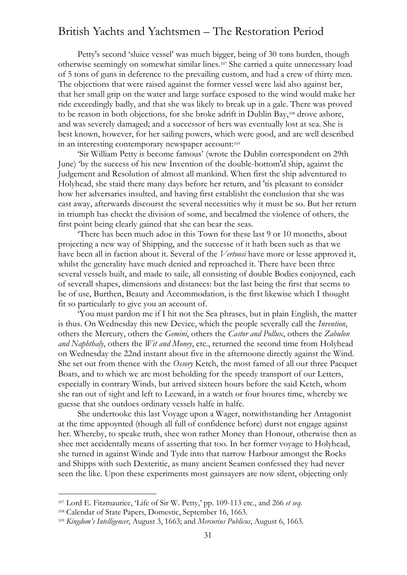Petty's second 'sluice vessel' was much bigger, being of 30 tons burden, though otherwise seemingly on somewhat similar lines. <sup>107</sup> She carried a quite unnecessary load of 5 tons of guns in deference to the prevailing custom, and had a crew of thirty men. The objections that were raised against the former vessel were laid also against her, that her small grip on the water and large surface exposed to the wind would make her ride exceedingly badly, and that she was likely to break up in a gale. There was proved to be reason in both objections, for she broke adrift in Dublin Bay,<sup>108</sup> drove ashore, and was severely damaged; and a successor of hers was eventually lost at sea. She is best known, however, for her sailing powers, which were good, and are well described in an interesting contemporary newspaper account:<sup>109</sup>

'Sir William Petty is become famous' (wrote the Dublin correspondent on 29th June) 'by the success of his new Invention of the double-bottom'd ship, against the Judgement and Resolution of almost all mankind. When first the ship adventured to Holyhead, she staid there many days before her return, and 'tis pleasant to consider how her adversaries insulted, and having first establisht the conclusion that she was cast away, afterwards discourst the several necessities why it must be so. But her return in triumph has checkt the division of some, and becalmed the violence of others, the first point being clearly gained that she can bear the seas.

'There has been much adoe in this Town for these last 9 or 10 moneths, about projecting a new way of Shipping, and the successe of it hath been such as that we have been all in faction about it. Several of the *Vertuosi* have more or lesse approved it, whilst the generality have much denied and reproached it. There have been three several vessels built, and made to saile, all consisting of double Bodies conjoyned, each of severall shapes, dimensions and distances: but the last being the first that seems to be of use, Burthen, Beauty and Accommodation, is the first likewise which I thought fit so particularly to give you an account of.

'You must pardon me if I hit not the Sea phrases, but in plain English, the matter is thus. On Wednesday this new Device, which the people severally call the *Invention*, others the Mercury, others the *Gemini*, others the *Castor and Pollux*, others the *Zabulon and Naphthaly*, others the *Wit and Money*, etc., returned the second time from Holyhead on Wednesday the 22nd instant about five in the afternoone directly against the Wind. She set out from thence with the *Ossory* Ketch, the most famed of all our three Pacquet Boats, and to which we are most beholding for the speedy transport of our Letters, especially in contrary Winds, but arrived sixteen hours before the said Ketch, whom she ran out of sight and left to Leeward, in a watch or four houres time, whereby we guesse that she outdoes ordinary vessels halfe in halfe.

She undertooke this last Voyage upon a Wager, notwithstanding her Antagonist at the time appoynted (though all full of confidence before) durst not engage against her. Whereby, to speake truth, shee won rather Money than Honour, otherwise then as shee met accidentally means of asserting that too. In her former voyage to Holyhead, she turned in against Winde and Tyde into that narrow Harbour amongst the Rocks and Shipps with such Dexteritie, as many ancient Seamen confessed they had never seen the like. Upon these experiments most gainsayers are now silent, objecting only

<sup>107</sup> Lord E. Fitzmaurice, 'Life of Sir W. Petty,' pp. 109-113 etc., and 266 *et seq*.

<sup>108</sup> Calendar of State Papers, Domestic, September 16, 1663.

<sup>109</sup> *Kingdom's Intelligencer*, August 3, 1663; and *Mercurius Publicus*, August 6, 1663.